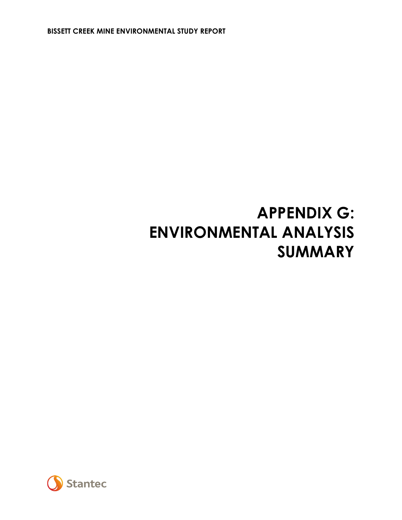**BISSETT CREEK MINE ENVIRONMENTAL STUDY REPORT**

# **APPENDIX G: ENVIRONMENTAL ANALYSIS SUMMARY**

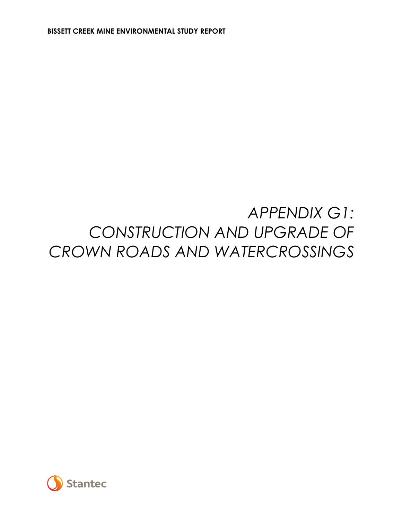## *APPENDIX G1: CONSTRUCTION AND UPGRADE OF CROWN ROADS AND WATERCROSSINGS*

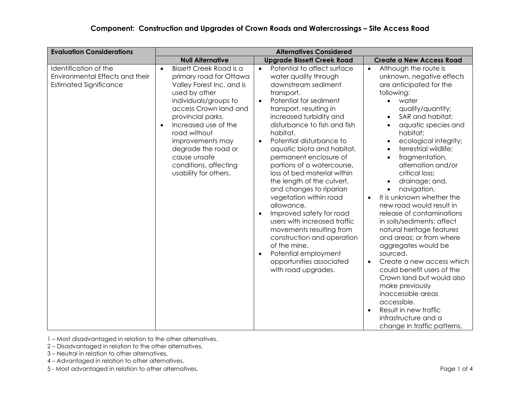| <b>Evaluation Considerations</b>                                                          | <b>Alternatives Considered</b>                                                                                                                                                                                                                                                                                                                         |                                                                                                                                                                                                                                                                                                                                                                                                                                                                                                                                                                                                                                                                                                                                                           |                                                                                                                                                                                                                                                                                                                                                                                                                                                                                                                                                                                                                                                                                                                                                                                                                                                                          |  |  |
|-------------------------------------------------------------------------------------------|--------------------------------------------------------------------------------------------------------------------------------------------------------------------------------------------------------------------------------------------------------------------------------------------------------------------------------------------------------|-----------------------------------------------------------------------------------------------------------------------------------------------------------------------------------------------------------------------------------------------------------------------------------------------------------------------------------------------------------------------------------------------------------------------------------------------------------------------------------------------------------------------------------------------------------------------------------------------------------------------------------------------------------------------------------------------------------------------------------------------------------|--------------------------------------------------------------------------------------------------------------------------------------------------------------------------------------------------------------------------------------------------------------------------------------------------------------------------------------------------------------------------------------------------------------------------------------------------------------------------------------------------------------------------------------------------------------------------------------------------------------------------------------------------------------------------------------------------------------------------------------------------------------------------------------------------------------------------------------------------------------------------|--|--|
|                                                                                           | <b>Null Alternative</b>                                                                                                                                                                                                                                                                                                                                | <b>Upgrade Bissett Creek Road</b>                                                                                                                                                                                                                                                                                                                                                                                                                                                                                                                                                                                                                                                                                                                         | <b>Create a New Access Road</b>                                                                                                                                                                                                                                                                                                                                                                                                                                                                                                                                                                                                                                                                                                                                                                                                                                          |  |  |
| Identification of the<br>Environmental Effects and their<br><b>Estimated Significance</b> | Bissett Creek Road is a<br>$\bullet$<br>primary road for Ottawa<br>Valley Forest Inc. and is<br>used by other<br>individuals/groups to<br>access Crown land and<br>provincial parks.<br>Increased use of the<br>$\bullet$<br>road without<br>improvements may<br>degrade the road or<br>cause unsafe<br>conditions, affecting<br>usability for others. | Potential to affect surface<br>$\bullet$<br>water quality through<br>downstream sediment<br>transport.<br>Potential for sediment<br>$\bullet$<br>transport, resulting in<br>increased turbidity and<br>disturbance to fish and fish<br>habitat.<br>Potential disturbance to<br>$\bullet$<br>aquatic biota and habitat,<br>permanent enclosure of<br>portions of a watercourse,<br>loss of bed material within<br>the length of the culvert,<br>and changes to riparian<br>vegetation within road<br>allowance.<br>Improved safety for road<br>$\bullet$<br>users with increased traffic<br>movements resulting from<br>construction and operation<br>of the mine.<br>Potential employment<br>$\bullet$<br>opportunities associated<br>with road upgrades. | Although the route is<br>$\bullet$<br>unknown, negative effects<br>are anticipated for the<br>following:<br>water<br>$\bullet$<br>quality/quantity;<br>SAR and habitat;<br>$\bullet$<br>aquatic species and<br>habitat;<br>ecological integrity;<br>terrestrial wildlife;<br>fragmentation,<br>alternation and/or<br>critical loss;<br>drainage; and,<br>navigation.<br>$\bullet$<br>It is unknown whether the<br>$\bullet$<br>new road would result in<br>release of contaminations<br>in soils/sediments; affect<br>natural heritage features<br>and areas; or from where<br>aggregates would be<br>sourced.<br>Create a new access which<br>$\bullet$<br>could benefit users of the<br>Crown land but would also<br>make previously<br>inaccessible areas<br>accessible.<br>Result in new traffic<br>$\bullet$<br>infrastructure and a<br>change in traffic patterns. |  |  |

2 – Disadvantaged in relation to the other alternatives.

3 – Neutral in relation to other alternatives.

4 – Advantaged in relation to other alternatives.

5 - Most advantaged in relation to other alternatives. Page 1 of 4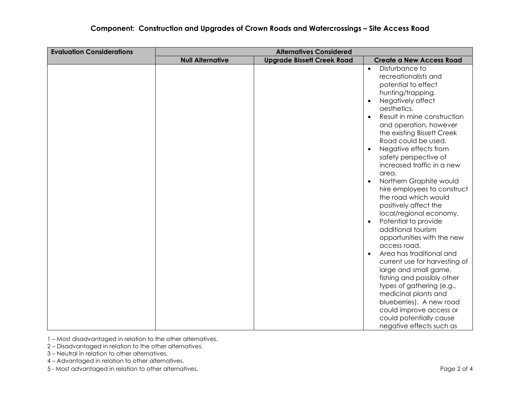#### **Component: Construction and Upgrades of Crown Roads and Watercrossings – Site Access Road**

| <b>Evaluation Considerations</b> | <b>Alternatives Considered</b> |                                   |                                                                                                                                                                                                                                                                                                                                                                                                                                                                                                                                                                                                                                                                                                                                                                                                                                                                 |  |  |
|----------------------------------|--------------------------------|-----------------------------------|-----------------------------------------------------------------------------------------------------------------------------------------------------------------------------------------------------------------------------------------------------------------------------------------------------------------------------------------------------------------------------------------------------------------------------------------------------------------------------------------------------------------------------------------------------------------------------------------------------------------------------------------------------------------------------------------------------------------------------------------------------------------------------------------------------------------------------------------------------------------|--|--|
|                                  | <b>Null Alternative</b>        | <b>Upgrade Bissett Creek Road</b> | <b>Create a New Access Road</b>                                                                                                                                                                                                                                                                                                                                                                                                                                                                                                                                                                                                                                                                                                                                                                                                                                 |  |  |
|                                  |                                |                                   | Disturbance to<br>$\bullet$<br>recreationalists and<br>potential to effect<br>hunting/trapping.<br>Negatively affect<br>$\bullet$<br>aesthetics.<br>Result in mine construction<br>$\bullet$<br>and operation, however<br>the existing Bissett Creek<br>Road could be used.<br>Negative effects from<br>$\bullet$<br>safety perspective of<br>increased traffic in a new<br>area.<br>Northern Graphite would<br>$\bullet$<br>hire employees to construct<br>the road which would<br>positively affect the<br>local/regional economy.<br>Potential to provide<br>$\bullet$<br>additional tourism<br>opportunities with the new<br>access road.<br>Area has traditional and<br>$\bullet$<br>current use for harvesting of<br>large and small game,<br>fishing and possibly other<br>types of gathering (e.g.,<br>medicinal plants and<br>blueberries). A new road |  |  |
|                                  |                                |                                   | could improve access or<br>could potentially cause                                                                                                                                                                                                                                                                                                                                                                                                                                                                                                                                                                                                                                                                                                                                                                                                              |  |  |
|                                  |                                |                                   | negative effects such as                                                                                                                                                                                                                                                                                                                                                                                                                                                                                                                                                                                                                                                                                                                                                                                                                                        |  |  |

1 – Most disadvantaged in relation to the other alternatives.

2 – Disadvantaged in relation to the other alternatives.

3 – Neutral in relation to other alternatives.

4 – Advantaged in relation to other alternatives.

5 - Most advantaged in relation to other alternatives. Page 2 of 4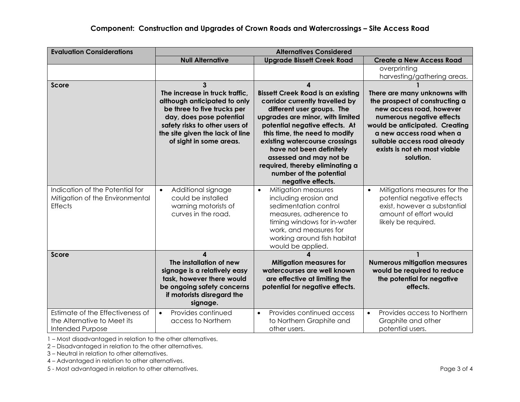| <b>Evaluation Considerations</b>                                                           |                                                                                                                                                                                                                                | <b>Alternatives Considered</b>                                                                                                                                                                                                                                                                                                                                                                    |                                                                                                                                                                                                                                                                    |
|--------------------------------------------------------------------------------------------|--------------------------------------------------------------------------------------------------------------------------------------------------------------------------------------------------------------------------------|---------------------------------------------------------------------------------------------------------------------------------------------------------------------------------------------------------------------------------------------------------------------------------------------------------------------------------------------------------------------------------------------------|--------------------------------------------------------------------------------------------------------------------------------------------------------------------------------------------------------------------------------------------------------------------|
|                                                                                            | <b>Null Alternative</b>                                                                                                                                                                                                        | <b>Upgrade Bissett Creek Road</b>                                                                                                                                                                                                                                                                                                                                                                 | <b>Create a New Access Road</b>                                                                                                                                                                                                                                    |
|                                                                                            |                                                                                                                                                                                                                                |                                                                                                                                                                                                                                                                                                                                                                                                   | overprinting                                                                                                                                                                                                                                                       |
|                                                                                            |                                                                                                                                                                                                                                |                                                                                                                                                                                                                                                                                                                                                                                                   | harvesting/gathering areas.                                                                                                                                                                                                                                        |
| <b>Score</b>                                                                               | 3<br>The increase in truck traffic,<br>although anticipated to only<br>be three to five trucks per<br>day, does pose potential<br>safety risks to other users of<br>the site given the lack of line<br>of sight in some areas. | 4<br><b>Bissett Creek Road is an existing</b><br>corridor currently travelled by<br>different user groups. The<br>upgrades are minor, with limited<br>potential negative effects. At<br>this time, the need to modify<br>existing watercourse crossings<br>have not been definitely<br>assessed and may not be<br>required, thereby eliminating a<br>number of the potential<br>negative effects. | There are many unknowns with<br>the prospect of constructing a<br>new access road, however<br>numerous negative effects<br>would be anticipated. Creating<br>a new access road when a<br>suitable access road already<br>exists is not eh most viable<br>solution. |
| Indication of the Potential for<br>Mitigation of the Environmental<br><b>Effects</b>       | Additional signage<br>$\bullet$<br>could be installed<br>warning motorists of<br>curves in the road.                                                                                                                           | Mitigation measures<br>$\bullet$<br>including erosion and<br>sedimentation control<br>measures, adherence to<br>timing windows for in-water<br>work, and measures for<br>working around fish habitat<br>would be applied.                                                                                                                                                                         | Mitigations measures for the<br>$\bullet$<br>potential negative effects<br>exist, however a substantial<br>amount of effort would<br>likely be required.                                                                                                           |
| <b>Score</b>                                                                               | $\boldsymbol{\Lambda}$<br>The installation of new<br>signage is a relatively easy<br>task, however there would<br>be ongoing safety concerns<br>if motorists disregard the<br>signage.                                         | <b>Mitigation measures for</b><br>watercourses are well known<br>are effective at limiting the<br>potential for negative effects.                                                                                                                                                                                                                                                                 | <b>Numerous mitigation measures</b><br>would be required to reduce<br>the potential for negative<br>effects.                                                                                                                                                       |
| Estimate of the Effectiveness of<br>the Alternative to Meet its<br><b>Intended Purpose</b> | Provides continued<br>$\bullet$<br>access to Northern                                                                                                                                                                          | Provides continued access<br>$\bullet$<br>to Northern Graphite and<br>other users.                                                                                                                                                                                                                                                                                                                | Provides access to Northern<br>$\bullet$<br>Graphite and other<br>potential users.                                                                                                                                                                                 |

2 – Disadvantaged in relation to the other alternatives.

3 – Neutral in relation to other alternatives.

4 – Advantaged in relation to other alternatives.

5 - Most advantaged in relation to other alternatives. Page 3 of 4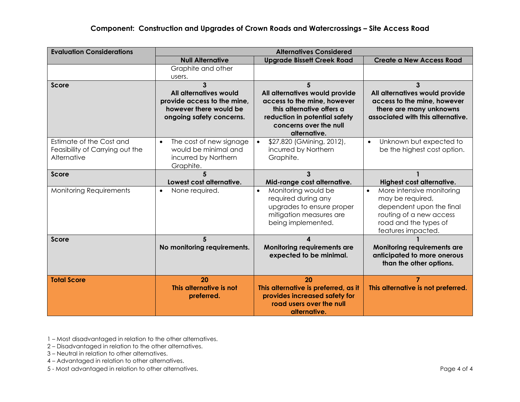#### **Component: Construction and Upgrades of Crown Roads and Watercrossings – Site Access Road**

| <b>Evaluation Considerations</b>                                           |                                                                                                                  | <b>Alternatives Considered</b>                                                                                                                                             |                                                                                                                                                                  |
|----------------------------------------------------------------------------|------------------------------------------------------------------------------------------------------------------|----------------------------------------------------------------------------------------------------------------------------------------------------------------------------|------------------------------------------------------------------------------------------------------------------------------------------------------------------|
|                                                                            | <b>Null Alternative</b>                                                                                          | <b>Upgrade Bissett Creek Road</b>                                                                                                                                          | <b>Create a New Access Road</b>                                                                                                                                  |
|                                                                            | Graphite and other                                                                                               |                                                                                                                                                                            |                                                                                                                                                                  |
|                                                                            | users.                                                                                                           |                                                                                                                                                                            |                                                                                                                                                                  |
| <b>Score</b>                                                               | 3<br>All alternatives would<br>provide access to the mine,<br>however there would be<br>ongoing safety concerns. | 5<br>All alternatives would provide<br>access to the mine, however<br>this alternative offers a<br>reduction in potential safety<br>concerns over the null<br>alternative. | 3<br>All alternatives would provide<br>access to the mine, however<br>there are many unknowns<br>associated with this alternative.                               |
| Estimate of the Cost and<br>Feasibility of Carrying out the<br>Alternative | The cost of new signage<br>$\bullet$<br>would be minimal and<br>incurred by Northern<br>Graphite.                | \$27,820 (GMining, 2012),<br>$\bullet$<br>incurred by Northern<br>Graphite.                                                                                                | Unknown but expected to<br>$\bullet$<br>be the highest cost option.                                                                                              |
| <b>Score</b>                                                               | Lowest cost alternative.                                                                                         | 3<br>Mid-range cost alternative.                                                                                                                                           | Highest cost alternative.                                                                                                                                        |
| <b>Monitoring Requirements</b>                                             | None required.<br>$\bullet$                                                                                      | Monitoring would be<br>$\bullet$<br>required during any<br>upgrades to ensure proper<br>mitigation measures are<br>being implemented.                                      | More intensive monitoring<br>$\bullet$<br>may be required,<br>dependent upon the final<br>routing of a new access<br>road and the types of<br>features impacted. |
| Score                                                                      | 5                                                                                                                |                                                                                                                                                                            |                                                                                                                                                                  |
|                                                                            | No monitoring requirements.                                                                                      | Monitoring requirements are<br>expected to be minimal.                                                                                                                     | <b>Monitoring requirements are</b><br>anticipated to more onerous<br>than the other options.                                                                     |
| <b>Total Score</b>                                                         | 20                                                                                                               | 20                                                                                                                                                                         | $\overline{7}$                                                                                                                                                   |
|                                                                            | This alternative is not<br>preferred.                                                                            | This alternative is preferred, as it<br>provides increased safety for<br>road users over the null<br>alternative.                                                          | This alternative is not preferred.                                                                                                                               |

1 – Most disadvantaged in relation to the other alternatives.

2 – Disadvantaged in relation to the other alternatives.

3 – Neutral in relation to other alternatives.

4 – Advantaged in relation to other alternatives.

5 - Most advantaged in relation to other alternatives. Page 4 of 4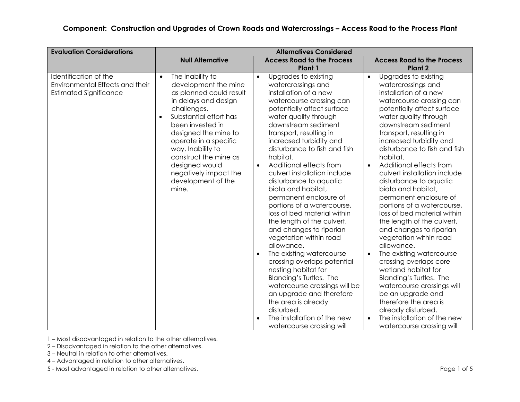| <b>Evaluation Considerations</b>                                                          | <b>Alternatives Considered</b>                                                                                                                                                                                                                                                                                                                              |                                                                                                                                                                                                                                                                                                                                                                                                                                                                                                                                                                                                                                                                                                                                                                                                                                                                       |                                                                                                                                                                                                                                                                                                                                                                                                                                                                                                                                                                                                                                                                                                                                                                                                                                                                                                       |  |  |
|-------------------------------------------------------------------------------------------|-------------------------------------------------------------------------------------------------------------------------------------------------------------------------------------------------------------------------------------------------------------------------------------------------------------------------------------------------------------|-----------------------------------------------------------------------------------------------------------------------------------------------------------------------------------------------------------------------------------------------------------------------------------------------------------------------------------------------------------------------------------------------------------------------------------------------------------------------------------------------------------------------------------------------------------------------------------------------------------------------------------------------------------------------------------------------------------------------------------------------------------------------------------------------------------------------------------------------------------------------|-------------------------------------------------------------------------------------------------------------------------------------------------------------------------------------------------------------------------------------------------------------------------------------------------------------------------------------------------------------------------------------------------------------------------------------------------------------------------------------------------------------------------------------------------------------------------------------------------------------------------------------------------------------------------------------------------------------------------------------------------------------------------------------------------------------------------------------------------------------------------------------------------------|--|--|
|                                                                                           | <b>Null Alternative</b>                                                                                                                                                                                                                                                                                                                                     | <b>Access Road to the Process</b>                                                                                                                                                                                                                                                                                                                                                                                                                                                                                                                                                                                                                                                                                                                                                                                                                                     | <b>Access Road to the Process</b>                                                                                                                                                                                                                                                                                                                                                                                                                                                                                                                                                                                                                                                                                                                                                                                                                                                                     |  |  |
| Identification of the<br>Environmental Effects and their<br><b>Estimated Significance</b> | The inability to<br>$\bullet$<br>development the mine<br>as planned could result<br>in delays and design<br>challenges.<br>Substantial effort has<br>$\bullet$<br>been invested in<br>designed the mine to<br>operate in a specific<br>way. Inability to<br>construct the mine as<br>designed would<br>negatively impact the<br>development of the<br>mine. | Plant 1<br>Upgrades to existing<br>$\bullet$<br>watercrossings and<br>installation of a new<br>watercourse crossing can<br>potentially affect surface<br>water quality through<br>downstream sediment<br>transport, resulting in<br>increased turbidity and<br>disturbance to fish and fish<br>habitat.<br>Additional effects from<br>$\bullet$<br>culvert installation include<br>disturbance to aquatic<br>biota and habitat,<br>permanent enclosure of<br>portions of a watercourse,<br>loss of bed material within<br>the length of the culvert,<br>and changes to riparian<br>vegetation within road<br>allowance.<br>The existing watercourse<br>crossing overlaps potential<br>nesting habitat for<br>Blanding's Turtles. The<br>watercourse crossings will be<br>an upgrade and therefore<br>the area is already<br>disturbed.<br>The installation of the new | Plant <sub>2</sub><br>Upgrades to existing<br>$\bullet$<br>watercrossings and<br>installation of a new<br>watercourse crossing can<br>potentially affect surface<br>water quality through<br>downstream sediment<br>transport, resulting in<br>increased turbidity and<br>disturbance to fish and fish<br>habitat.<br>Additional effects from<br>$\bullet$<br>culvert installation include<br>disturbance to aquatic<br>biota and habitat,<br>permanent enclosure of<br>portions of a watercourse,<br>loss of bed material within<br>the length of the culvert,<br>and changes to riparian<br>vegetation within road<br>allowance.<br>The existing watercourse<br>$\bullet$<br>crossing overlaps core<br>wetland habitat for<br>Blanding's Turtles. The<br>watercourse crossings will<br>be an upgrade and<br>therefore the area is<br>already disturbed.<br>The installation of the new<br>$\bullet$ |  |  |
|                                                                                           |                                                                                                                                                                                                                                                                                                                                                             | watercourse crossing will                                                                                                                                                                                                                                                                                                                                                                                                                                                                                                                                                                                                                                                                                                                                                                                                                                             | watercourse crossing will                                                                                                                                                                                                                                                                                                                                                                                                                                                                                                                                                                                                                                                                                                                                                                                                                                                                             |  |  |

2 – Disadvantaged in relation to the other alternatives.

3 – Neutral in relation to other alternatives.

4 – Advantaged in relation to other alternatives.

5 - Most advantaged in relation to other alternatives. Page 1 of 5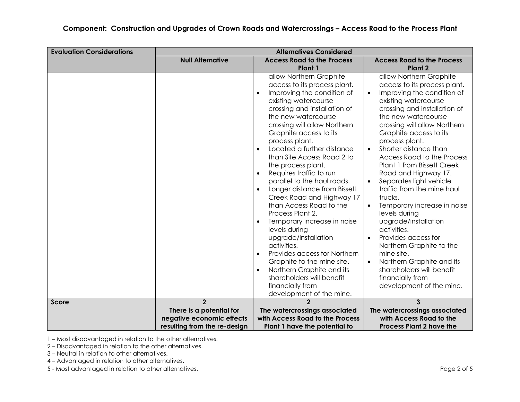| <b>Evaluation Considerations</b> |                                                                                                         | <b>Alternatives Considered</b>                                                                                                                                                                                                                                                                                                                                                                                                                                                                                                                                                                                                                                                                                                     |                                                                                                                                                                                                                                                                                                                                                                                                                                                                                                                                                                                                                                                                                                                                |
|----------------------------------|---------------------------------------------------------------------------------------------------------|------------------------------------------------------------------------------------------------------------------------------------------------------------------------------------------------------------------------------------------------------------------------------------------------------------------------------------------------------------------------------------------------------------------------------------------------------------------------------------------------------------------------------------------------------------------------------------------------------------------------------------------------------------------------------------------------------------------------------------|--------------------------------------------------------------------------------------------------------------------------------------------------------------------------------------------------------------------------------------------------------------------------------------------------------------------------------------------------------------------------------------------------------------------------------------------------------------------------------------------------------------------------------------------------------------------------------------------------------------------------------------------------------------------------------------------------------------------------------|
|                                  | <b>Null Alternative</b>                                                                                 | <b>Access Road to the Process</b>                                                                                                                                                                                                                                                                                                                                                                                                                                                                                                                                                                                                                                                                                                  | <b>Access Road to the Process</b>                                                                                                                                                                                                                                                                                                                                                                                                                                                                                                                                                                                                                                                                                              |
|                                  |                                                                                                         | Plant 1<br>allow Northern Graphite<br>access to its process plant.<br>Improving the condition of<br>existing watercourse<br>crossing and installation of<br>the new watercourse<br>crossing will allow Northern<br>Graphite access to its<br>process plant.<br>Located a further distance<br>than Site Access Road 2 to<br>the process plant.<br>Requires traffic to run<br>parallel to the haul roads.<br>Longer distance from Bissett<br>Creek Road and Highway 17<br>than Access Road to the<br>Process Plant 2.<br>Temporary increase in noise<br>levels during<br>upgrade/installation<br>activities.<br>Provides access for Northern<br>Graphite to the mine site.<br>Northern Graphite and its<br>shareholders will benefit | Plant <sub>2</sub><br>allow Northern Graphite<br>access to its process plant.<br>Improving the condition of<br>existing watercourse<br>crossing and installation of<br>the new watercourse<br>crossing will allow Northern<br>Graphite access to its<br>process plant.<br>Shorter distance than<br><b>Access Road to the Process</b><br>Plant 1 from Bissett Creek<br>Road and Highway 17.<br>Separates light vehicle<br>$\bullet$<br>traffic from the mine haul<br>trucks.<br>Temporary increase in noise<br>levels during<br>upgrade/installation<br>activities.<br>Provides access for<br>$\bullet$<br>Northern Graphite to the<br>mine site.<br>Northern Graphite and its<br>shareholders will benefit<br>financially from |
|                                  |                                                                                                         | financially from<br>development of the mine.                                                                                                                                                                                                                                                                                                                                                                                                                                                                                                                                                                                                                                                                                       | development of the mine.                                                                                                                                                                                                                                                                                                                                                                                                                                                                                                                                                                                                                                                                                                       |
| <b>Score</b>                     | $\overline{2}$<br>There is a potential for<br>negative economic effects<br>resulting from the re-design | The watercrossings associated<br>with Access Road to the Process<br>Plant 1 have the potential to                                                                                                                                                                                                                                                                                                                                                                                                                                                                                                                                                                                                                                  | 3<br>The watercrossings associated<br>with Access Road to the<br><b>Process Plant 2 have the</b>                                                                                                                                                                                                                                                                                                                                                                                                                                                                                                                                                                                                                               |

2 – Disadvantaged in relation to the other alternatives.

3 – Neutral in relation to other alternatives.

4 – Advantaged in relation to other alternatives.

5 - Most advantaged in relation to other alternatives. Page 2 of 5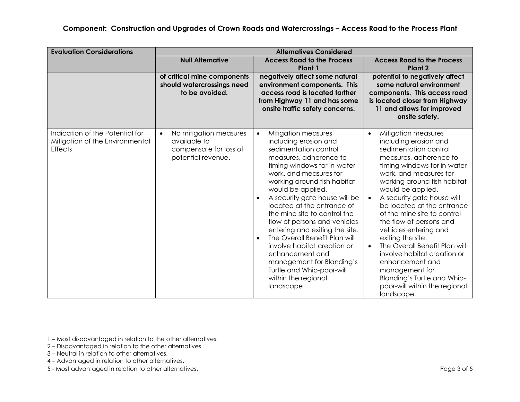#### **Component: Construction and Upgrades of Crown Roads and Watercrossings – Access Road to the Process Plant**

| <b>Evaluation Considerations</b>                                                     | <b>Alternatives Considered</b>                                                                                                                                                                                                                     |                                                                                                                                                                                                                                                                                                                                                                                                                                                                                                                                                                              |                                                                                                                                                                                                                                                                                                                                                                                                                                                                                                                                                                                               |  |  |
|--------------------------------------------------------------------------------------|----------------------------------------------------------------------------------------------------------------------------------------------------------------------------------------------------------------------------------------------------|------------------------------------------------------------------------------------------------------------------------------------------------------------------------------------------------------------------------------------------------------------------------------------------------------------------------------------------------------------------------------------------------------------------------------------------------------------------------------------------------------------------------------------------------------------------------------|-----------------------------------------------------------------------------------------------------------------------------------------------------------------------------------------------------------------------------------------------------------------------------------------------------------------------------------------------------------------------------------------------------------------------------------------------------------------------------------------------------------------------------------------------------------------------------------------------|--|--|
|                                                                                      | <b>Null Alternative</b>                                                                                                                                                                                                                            | <b>Access Road to the Process</b><br>Plant 1                                                                                                                                                                                                                                                                                                                                                                                                                                                                                                                                 | <b>Access Road to the Process</b><br>Plant <sub>2</sub>                                                                                                                                                                                                                                                                                                                                                                                                                                                                                                                                       |  |  |
|                                                                                      | negatively affect some natural<br>of critical mine components<br>should watercrossings need<br>environment components. This<br>to be avoided.<br>access road is located farther<br>from Highway 11 and has some<br>onsite traffic safety concerns. |                                                                                                                                                                                                                                                                                                                                                                                                                                                                                                                                                                              | potential to negatively affect<br>some natural environment<br>components. This access road<br>is located closer from Highway<br>11 and allows for improved<br>onsite safety.                                                                                                                                                                                                                                                                                                                                                                                                                  |  |  |
| Indication of the Potential for<br>Mitigation of the Environmental<br><b>Effects</b> | No mitigation measures<br>$\bullet$<br>available to<br>compensate for loss of<br>potential revenue.                                                                                                                                                | Mitigation measures<br>$\bullet$<br>including erosion and<br>sedimentation control<br>measures, adherence to<br>timing windows for in-water<br>work, and measures for<br>working around fish habitat<br>would be applied.<br>A security gate house will be<br>located at the entrance of<br>the mine site to control the<br>flow of persons and vehicles<br>entering and exiting the site.<br>The Overall Benefit Plan will<br>involve habitat creation or<br>enhancement and<br>management for Blanding's<br>Turtle and Whip-poor-will<br>within the regional<br>landscape. | Mitigation measures<br>$\bullet$<br>including erosion and<br>sedimentation control<br>measures, adherence to<br>timing windows for in-water<br>work, and measures for<br>working around fish habitat<br>would be applied.<br>A security gate house will<br>be located at the entrance<br>of the mine site to control<br>the flow of persons and<br>vehicles entering and<br>exiting the site.<br>The Overall Benefit Plan will<br>$\bullet$<br>involve habitat creation or<br>enhancement and<br>management for<br>Blanding's Turtle and Whip-<br>poor-will within the regional<br>landscape. |  |  |

1 – Most disadvantaged in relation to the other alternatives.

- 2 Disadvantaged in relation to the other alternatives.
- 3 Neutral in relation to other alternatives.
- 4 Advantaged in relation to other alternatives.
- 5 Most advantaged in relation to other alternatives. Page 3 of 5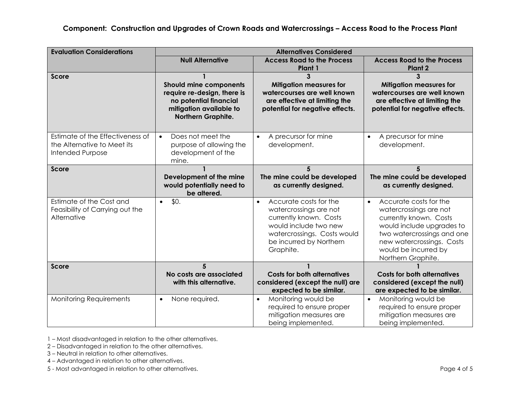#### **Component: Construction and Upgrades of Crown Roads and Watercrossings – Access Road to the Process Plant**

| <b>Evaluation Considerations</b>                                                    |                                                                                                                                                                                                                                                                                          | <b>Alternatives Considered</b>                                                                                                                                                          |                                                                                                                                                                                                                               |
|-------------------------------------------------------------------------------------|------------------------------------------------------------------------------------------------------------------------------------------------------------------------------------------------------------------------------------------------------------------------------------------|-----------------------------------------------------------------------------------------------------------------------------------------------------------------------------------------|-------------------------------------------------------------------------------------------------------------------------------------------------------------------------------------------------------------------------------|
|                                                                                     | <b>Null Alternative</b>                                                                                                                                                                                                                                                                  | <b>Access Road to the Process</b><br>Plant 1                                                                                                                                            | <b>Access Road to the Process</b><br>Plant <sub>2</sub>                                                                                                                                                                       |
| Score                                                                               | 3<br><b>Mitigation measures for</b><br><b>Should mine components</b><br>watercourses are well known<br>require re-design, there is<br>are effective at limiting the<br>no potential financial<br>mitigation available to<br>potential for negative effects.<br><b>Northern Graphite.</b> |                                                                                                                                                                                         | 3<br><b>Mitigation measures for</b><br>watercourses are well known<br>are effective at limiting the<br>potential for negative effects.                                                                                        |
| Estimate of the Effectiveness of<br>the Alternative to Meet its<br>Intended Purpose | Does not meet the<br>$\bullet$<br>purpose of allowing the<br>development of the<br>mine.                                                                                                                                                                                                 | A precursor for mine<br>$\bullet$<br>development.                                                                                                                                       | A precursor for mine<br>development.                                                                                                                                                                                          |
| <b>Score</b>                                                                        | Development of the mine<br>would potentially need to<br>be altered.                                                                                                                                                                                                                      | 5<br>The mine could be developed<br>as currently designed.                                                                                                                              | 5<br>The mine could be developed<br>as currently designed.                                                                                                                                                                    |
| Estimate of the Cost and<br>Feasibility of Carrying out the<br>Alternative          | \$0.<br>$\bullet$                                                                                                                                                                                                                                                                        | Accurate costs for the<br>$\bullet$<br>watercrossings are not<br>currently known. Costs<br>would include two new<br>watercrossings. Costs would<br>be incurred by Northern<br>Graphite. | Accurate costs for the<br>$\bullet$<br>watercrossings are not<br>currently known. Costs<br>would include upgrades to<br>two watercrossings and one<br>new watercrossings. Costs<br>would be incurred by<br>Northern Graphite. |
| Score                                                                               | 5<br>No costs are associated<br>with this alternative.                                                                                                                                                                                                                                   | <b>Costs for both alternatives</b><br>considered (except the null) are<br>expected to be similar.                                                                                       | <b>Costs for both alternatives</b><br>considered (except the null)<br>are expected to be similar.                                                                                                                             |
| <b>Monitoring Requirements</b>                                                      | None required.<br>$\bullet$                                                                                                                                                                                                                                                              | Monitoring would be<br>$\bullet$<br>required to ensure proper<br>mitigation measures are<br>being implemented.                                                                          | Monitoring would be<br>$\bullet$<br>required to ensure proper<br>mitigation measures are<br>being implemented.                                                                                                                |

1 – Most disadvantaged in relation to the other alternatives.

2 – Disadvantaged in relation to the other alternatives.

3 – Neutral in relation to other alternatives.

4 – Advantaged in relation to other alternatives.

5 - Most advantaged in relation to other alternatives. Page 4 of 5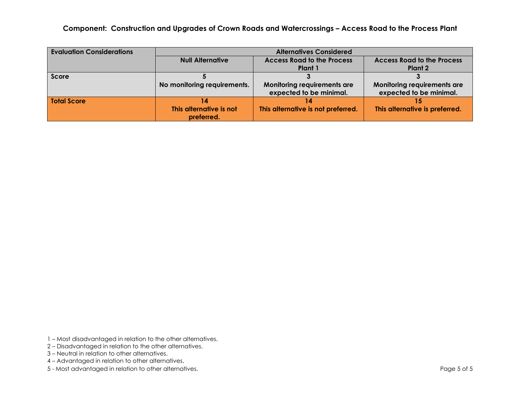**Component: Construction and Upgrades of Crown Roads and Watercrossings – Access Road to the Process Plant** 

| <b>Evaluation Considerations</b> | <b>Alternatives Considered</b> |                                    |                                   |  |  |
|----------------------------------|--------------------------------|------------------------------------|-----------------------------------|--|--|
|                                  | <b>Null Alternative</b>        | <b>Access Road to the Process</b>  | <b>Access Road to the Process</b> |  |  |
|                                  |                                | Plant 1                            | Plant 2                           |  |  |
| <b>Score</b>                     |                                |                                    |                                   |  |  |
|                                  | No monitoring requirements.    | Monitoring requirements are        | Monitoring requirements are       |  |  |
|                                  |                                | expected to be minimal.            | expected to be minimal.           |  |  |
| <b>Total Score</b>               | 14                             |                                    |                                   |  |  |
|                                  | This alternative is not        | This alternative is not preferred. | This alternative is preferred.    |  |  |
|                                  | preferred.                     |                                    |                                   |  |  |

- 1 Most disadvantaged in relation to the other alternatives.
- 2 Disadvantaged in relation to the other alternatives.
- 3 Neutral in relation to other alternatives.
- 4 Advantaged in relation to other alternatives.
- 5 Most advantaged in relation to other alternatives. Page 5 of 5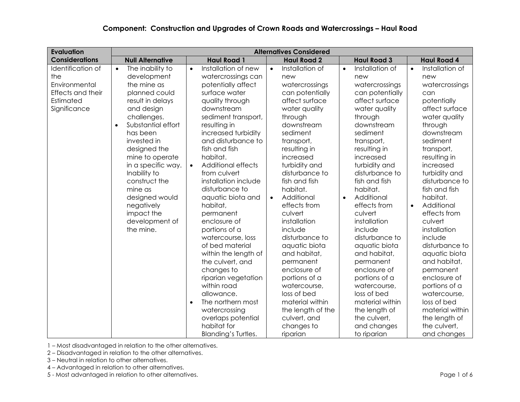#### **Component: Construction and Upgrades of Crown Roads and Watercrossings – Haul Road**

| <b>Evaluation</b>                                                                           | <b>Alternatives Considered</b>                                                                                                                                                                                                                                                                                                                                                |                                                                                                                                                                                                                                                                                                                                                                                                                                                                                                                                                                                                                                                                                                         |                                                                                                                                                                                                                                                                                                                                                                                                                                                                                                                                                                |                                                                                                                                                                                                                                                                                                                                                                                                                                                                                                                                                                |                                                                                                                                                                                                                                                                                                                                                                                                                                                                                                                                                    |  |
|---------------------------------------------------------------------------------------------|-------------------------------------------------------------------------------------------------------------------------------------------------------------------------------------------------------------------------------------------------------------------------------------------------------------------------------------------------------------------------------|---------------------------------------------------------------------------------------------------------------------------------------------------------------------------------------------------------------------------------------------------------------------------------------------------------------------------------------------------------------------------------------------------------------------------------------------------------------------------------------------------------------------------------------------------------------------------------------------------------------------------------------------------------------------------------------------------------|----------------------------------------------------------------------------------------------------------------------------------------------------------------------------------------------------------------------------------------------------------------------------------------------------------------------------------------------------------------------------------------------------------------------------------------------------------------------------------------------------------------------------------------------------------------|----------------------------------------------------------------------------------------------------------------------------------------------------------------------------------------------------------------------------------------------------------------------------------------------------------------------------------------------------------------------------------------------------------------------------------------------------------------------------------------------------------------------------------------------------------------|----------------------------------------------------------------------------------------------------------------------------------------------------------------------------------------------------------------------------------------------------------------------------------------------------------------------------------------------------------------------------------------------------------------------------------------------------------------------------------------------------------------------------------------------------|--|
| <b>Considerations</b>                                                                       | <b>Null Alternative</b>                                                                                                                                                                                                                                                                                                                                                       | <b>Haul Road 1</b>                                                                                                                                                                                                                                                                                                                                                                                                                                                                                                                                                                                                                                                                                      | <b>Haul Road 2</b>                                                                                                                                                                                                                                                                                                                                                                                                                                                                                                                                             | <b>Haul Road 3</b>                                                                                                                                                                                                                                                                                                                                                                                                                                                                                                                                             | <b>Haul Road 4</b>                                                                                                                                                                                                                                                                                                                                                                                                                                                                                                                                 |  |
| Identification of<br>the<br>Environmental<br>Effects and their<br>Estimated<br>Significance | The inability to<br>$\bullet$<br>development<br>the mine as<br>planned could<br>result in delays<br>and design<br>challenges.<br>Substantial effort<br>$\bullet$<br>has been<br>invested in<br>designed the<br>mine to operate<br>in a specific way.<br>Inability to<br>construct the<br>mine as<br>designed would<br>negatively<br>impact the<br>development of<br>the mine. | Installation of new<br>$\bullet$<br>watercrossings can<br>potentially affect<br>surface water<br>quality through<br>downstream<br>sediment transport,<br>resulting in<br>increased turbidity<br>and disturbance to<br>fish and fish<br>habitat.<br><b>Additional effects</b><br>$\bullet$<br>from culvert<br>installation include<br>disturbance to<br>aquatic biota and<br>habitat,<br>permanent<br>enclosure of<br>portions of a<br>watercourse, loss<br>of bed material<br>within the length of<br>the culvert, and<br>changes to<br>riparian vegetation<br>within road<br>allowance.<br>The northern most<br>$\bullet$<br>watercrossing<br>overlaps potential<br>habitat for<br>Blanding's Turtles. | Installation of<br>$\bullet$<br>new<br>watercrossings<br>can potentially<br>affect surface<br>water quality<br>through<br>downstream<br>sediment<br>transport,<br>resulting in<br>increased<br>turbidity and<br>disturbance to<br>fish and fish<br>habitat.<br>Additional<br>$\bullet$<br>effects from<br>culvert<br>installation<br>include<br>disturbance to<br>aquatic biota<br>and habitat,<br>permanent<br>enclosure of<br>portions of a<br>watercourse,<br>loss of bed<br>material within<br>the length of the<br>culvert, and<br>changes to<br>riparian | Installation of<br>$\bullet$<br>new<br>watercrossings<br>can potentially<br>affect surface<br>water quality<br>through<br>downstream<br>sediment<br>transport,<br>resulting in<br>increased<br>turbidity and<br>disturbance to<br>fish and fish<br>habitat.<br>Additional<br>$\bullet$<br>effects from<br>culvert<br>installation<br>include<br>disturbance to<br>aquatic biota<br>and habitat,<br>permanent<br>enclosure of<br>portions of a<br>watercourse,<br>loss of bed<br>material within<br>the length of<br>the culvert,<br>and changes<br>to riparian | Installation of<br>$\bullet$<br>new<br>watercrossings<br>can<br>potentially<br>affect surface<br>water quality<br>through<br>downstream<br>sediment<br>transport,<br>resulting in<br>increased<br>turbidity and<br>disturbance to<br>fish and fish<br>habitat.<br>Additional<br>$\bullet$<br>effects from<br>culvert<br>installation<br>include<br>disturbance to<br>aquatic biota<br>and habitat,<br>permanent<br>enclosure of<br>portions of a<br>watercourse,<br>loss of bed<br>material within<br>the length of<br>the culvert,<br>and changes |  |

1 – Most disadvantaged in relation to the other alternatives.

2 – Disadvantaged in relation to the other alternatives.

- 3 Neutral in relation to other alternatives.
- 4 Advantaged in relation to other alternatives.

5 - Most advantaged in relation to other alternatives.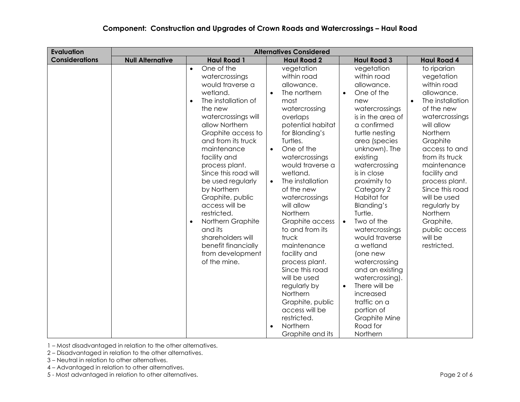| <b>Evaluation</b>     |                         |                                                                                                                                                                                                                                                                                                                                                                                                                                                                                                              | <b>Alternatives Considered</b>                                                                                                                                                                                                                                                                                                                                                                                                                                                                                                                                                                        |                                                                                                                                                                                                                                                                                                                                                                                                                                                                                                                                                                               |                                                                                                                                                                                                                                                                                                                                                             |
|-----------------------|-------------------------|--------------------------------------------------------------------------------------------------------------------------------------------------------------------------------------------------------------------------------------------------------------------------------------------------------------------------------------------------------------------------------------------------------------------------------------------------------------------------------------------------------------|-------------------------------------------------------------------------------------------------------------------------------------------------------------------------------------------------------------------------------------------------------------------------------------------------------------------------------------------------------------------------------------------------------------------------------------------------------------------------------------------------------------------------------------------------------------------------------------------------------|-------------------------------------------------------------------------------------------------------------------------------------------------------------------------------------------------------------------------------------------------------------------------------------------------------------------------------------------------------------------------------------------------------------------------------------------------------------------------------------------------------------------------------------------------------------------------------|-------------------------------------------------------------------------------------------------------------------------------------------------------------------------------------------------------------------------------------------------------------------------------------------------------------------------------------------------------------|
| <b>Considerations</b> | <b>Null Alternative</b> | <b>Haul Road 1</b>                                                                                                                                                                                                                                                                                                                                                                                                                                                                                           | <b>Haul Road 2</b>                                                                                                                                                                                                                                                                                                                                                                                                                                                                                                                                                                                    | <b>Haul Road 3</b>                                                                                                                                                                                                                                                                                                                                                                                                                                                                                                                                                            | <b>Haul Road 4</b>                                                                                                                                                                                                                                                                                                                                          |
|                       |                         | One of the<br>$\bullet$<br>watercrossings<br>would traverse a<br>wetland.<br>The installation of<br>$\bullet$<br>the new<br>watercrossings will<br>allow Northern<br>Graphite access to<br>and from its truck<br>maintenance<br>facility and<br>process plant.<br>Since this road will<br>be used regularly<br>by Northern<br>Graphite, public<br>access will be<br>restricted.<br>Northern Graphite<br>$\bullet$<br>and its<br>shareholders will<br>benefit financially<br>from development<br>of the mine. | vegetation<br>within road<br>allowance.<br>The northern<br>$\bullet$<br>most<br>watercrossing<br>overlaps<br>potential habitat<br>for Blanding's<br>Turtles.<br>One of the<br>$\bullet$<br>watercrossings<br>would traverse a<br>wetland.<br>The installation<br>$\bullet$<br>of the new<br>watercrossings<br>will allow<br>Northern<br>Graphite access<br>to and from its<br>truck<br>maintenance<br>facility and<br>process plant.<br>Since this road<br>will be used<br>regularly by<br>Northern<br>Graphite, public<br>access will be<br>restricted.<br>Northern<br>$\bullet$<br>Graphite and its | vegetation<br>within road<br>allowance.<br>One of the<br>$\bullet$<br>new<br>watercrossings<br>is in the area of<br>a confirmed<br>turtle nesting<br>area (species<br>unknown). The<br>existing<br>watercrossing<br>is in close<br>proximity to<br>Category 2<br>Habitat for<br>Blanding's<br>Turtle.<br>Two of the<br>$\bullet$<br>watercrossings<br>would traverse<br>a wetland<br>(one new<br>watercrossing<br>and an existing<br>watercrossing).<br>There will be<br>$\bullet$<br>increased<br>traffic on a<br>portion of<br><b>Graphite Mine</b><br>Road for<br>Northern | to riparian<br>vegetation<br>within road<br>allowance.<br>The installation<br>of the new<br>watercrossings<br>will allow<br>Northern<br>Graphite<br>access to and<br>from its truck<br>maintenance<br>facility and<br>process plant.<br>Since this road<br>will be used<br>regularly by<br>Northern<br>Graphite,<br>public access<br>will be<br>restricted. |

2 – Disadvantaged in relation to the other alternatives.

- 3 Neutral in relation to other alternatives.
- 4 Advantaged in relation to other alternatives.

5 - Most advantaged in relation to other alternatives. **Page 2 of 6** and the state of 6 and the state of 6 and the state of 6 and the state of 6 and the state of 6 and the state of 6 and the state of 6 and the state of 6 a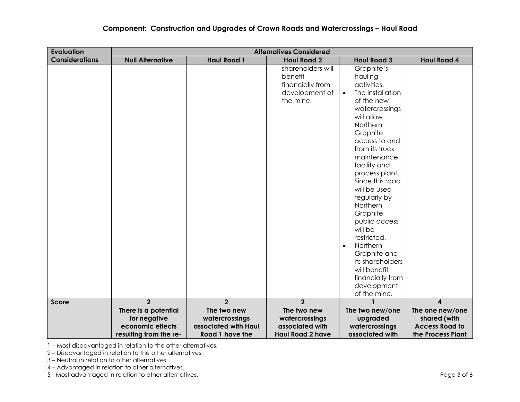#### **Component: Construction and Upgrades of Crown Roads and Watercrossings – Haul Road**

| <b>Evaluation</b>     | <b>Alternatives Considered</b>                                                     |                                                                          |                                                                                 |                                                                                                                                                                                                                                                                                                                                                                                                                                                                                        |                                                                               |
|-----------------------|------------------------------------------------------------------------------------|--------------------------------------------------------------------------|---------------------------------------------------------------------------------|----------------------------------------------------------------------------------------------------------------------------------------------------------------------------------------------------------------------------------------------------------------------------------------------------------------------------------------------------------------------------------------------------------------------------------------------------------------------------------------|-------------------------------------------------------------------------------|
| <b>Considerations</b> | <b>Null Alternative</b>                                                            | <b>Haul Road 1</b>                                                       | <b>Haul Road 2</b>                                                              | <b>Haul Road 3</b>                                                                                                                                                                                                                                                                                                                                                                                                                                                                     | <b>Haul Road 4</b>                                                            |
|                       |                                                                                    |                                                                          | shareholders will<br>benefit<br>financially from<br>development of<br>the mine. | Graphite's<br>hauling<br>activities.<br>The installation<br>$\bullet$<br>of the new<br>watercrossings<br>will allow<br>Northern<br>Graphite<br>access to and<br>from its truck<br>maintenance<br>facility and<br>process plant.<br>Since this road<br>will be used<br>regularly by<br>Northern<br>Graphite,<br>public access<br>will be<br>restricted.<br>Northern<br>$\bullet$<br>Graphite and<br>its shareholders<br>will benefit<br>financially from<br>development<br>of the mine. |                                                                               |
| <b>Score</b>          | $\overline{2}$                                                                     | $\overline{2}$                                                           | $\overline{2}$                                                                  |                                                                                                                                                                                                                                                                                                                                                                                                                                                                                        | $\blacktriangle$                                                              |
|                       | There is a potential<br>for negative<br>economic effects<br>resulting from the re- | The two new<br>watercrossings<br>associated with Haul<br>Road 1 have the | The two new<br>watercrossings<br>associated with<br><b>Haul Road 2 have</b>     | The two new/one<br>upgraded<br>watercrossings<br>associated with                                                                                                                                                                                                                                                                                                                                                                                                                       | The one new/one<br>shared (with<br><b>Access Road to</b><br>the Process Plant |

1 – Most disadvantaged in relation to the other alternatives.

2 – Disadvantaged in relation to the other alternatives.

3 – Neutral in relation to other alternatives.

4 – Advantaged in relation to other alternatives.

5 - Most advantaged in relation to other alternatives. Page 3 of 6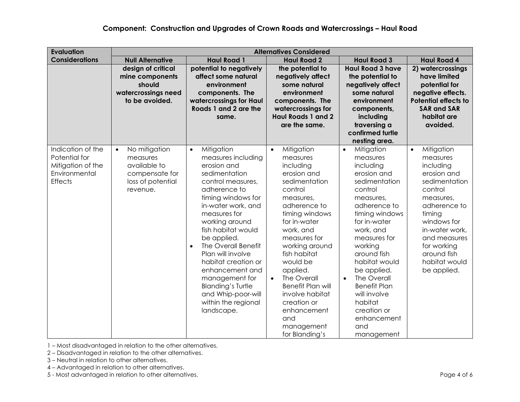#### **Component: Construction and Upgrades of Crown Roads and Watercrossings – Haul Road**

| <b>Evaluation</b>     | <b>Alternatives Considered</b>         |                                               |                           |                          |                             |
|-----------------------|----------------------------------------|-----------------------------------------------|---------------------------|--------------------------|-----------------------------|
| <b>Considerations</b> | <b>Null Alternative</b>                | <b>Haul Road 1</b>                            | <b>Haul Road 2</b>        | <b>Haul Road 3</b>       | <b>Haul Road 4</b>          |
|                       | design of critical                     | potential to negatively                       | the potential to          | <b>Haul Road 3 have</b>  | 2) watercrossings           |
|                       | mine components                        | affect some natural                           | negatively affect         | the potential to         | have limited                |
|                       | should                                 | environment                                   | some natural              | negatively affect        | potential for               |
|                       | watercrossings need                    | components. The                               | environment               | some natural             | negative effects.           |
|                       | to be avoided.                         | watercrossings for Haul                       | components. The           | environment              | <b>Potential effects to</b> |
|                       |                                        | Roads 1 and 2 are the                         | watercrossings for        | components,              | <b>SAR and SAR</b>          |
|                       |                                        | same.                                         | <b>Haul Roads 1 and 2</b> | including                | habitat are                 |
|                       |                                        |                                               | are the same.             | traversing a             | avoided.                    |
|                       |                                        |                                               |                           | confirmed turtle         |                             |
| Indication of the     |                                        |                                               |                           | nesting area.            |                             |
| Potential for         | No mitigation<br>$\bullet$<br>measures | Mitigation<br>$\bullet$<br>measures including | Mitigation<br>$\bullet$   | Mitigation<br>$\bullet$  | Mitigation<br>$\bullet$     |
| Mitigation of the     | available to                           | erosion and                                   | measures                  | measures<br>including    | measures                    |
| Environmental         | compensate for                         | sedimentation                                 | including<br>erosion and  | erosion and              | including<br>erosion and    |
| <b>Effects</b>        | loss of potential                      | control measures,                             | sedimentation             | sedimentation            | sedimentation               |
|                       | revenue.                               | adherence to                                  | control                   | control                  | control                     |
|                       |                                        | timing windows for                            | measures,                 | measures,                | measures,                   |
|                       |                                        | in-water work, and                            | adherence to              | adherence to             | adherence to                |
|                       |                                        | measures for                                  | timing windows            | timing windows           | timing                      |
|                       |                                        | working around                                | for in-water              | for in-water             | windows for                 |
|                       |                                        | fish habitat would                            | work, and                 | work, and                | in-water work,              |
|                       |                                        | be applied.                                   | measures for              | measures for             | and measures                |
|                       |                                        | The Overall Benefit<br>$\bullet$              | working around            | working                  | for working                 |
|                       |                                        | Plan will involve                             | fish habitat              | around fish              | around fish                 |
|                       |                                        | habitat creation or                           | would be                  | habitat would            | habitat would               |
|                       |                                        | enhancement and                               | applied.                  | be applied.              | be applied.                 |
|                       |                                        | management for                                | The Overall<br>$\bullet$  | The Overall<br>$\bullet$ |                             |
|                       |                                        | <b>Blanding's Turtle</b>                      | <b>Benefit Plan will</b>  | <b>Benefit Plan</b>      |                             |
|                       |                                        | and Whip-poor-will                            | involve habitat           | will involve             |                             |
|                       |                                        | within the regional                           | creation or               | habitat                  |                             |
|                       |                                        | landscape.                                    | enhancement               | creation or              |                             |
|                       |                                        |                                               | and                       | enhancement              |                             |
|                       |                                        |                                               | management                | and                      |                             |
|                       |                                        |                                               | for Blanding's            | management               |                             |

1 – Most disadvantaged in relation to the other alternatives.

2 – Disadvantaged in relation to the other alternatives.

- 3 Neutral in relation to other alternatives.
- 4 Advantaged in relation to other alternatives.

5 - Most advantaged in relation to other alternatives. Page 4 of 6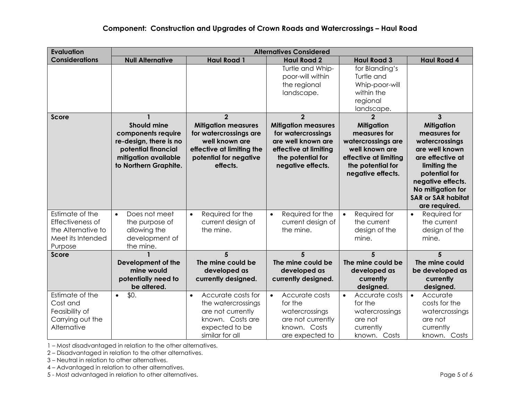| <b>Evaluation</b>                                                                         | <b>Alternatives Considered</b>                                                                                                             |                                                                                                                                                             |                                                                                                                                                             |                                                                                                                                                                |                                                                                                                                                                                                                                      |
|-------------------------------------------------------------------------------------------|--------------------------------------------------------------------------------------------------------------------------------------------|-------------------------------------------------------------------------------------------------------------------------------------------------------------|-------------------------------------------------------------------------------------------------------------------------------------------------------------|----------------------------------------------------------------------------------------------------------------------------------------------------------------|--------------------------------------------------------------------------------------------------------------------------------------------------------------------------------------------------------------------------------------|
| <b>Considerations</b>                                                                     | <b>Null Alternative</b>                                                                                                                    | <b>Haul Road 1</b>                                                                                                                                          | <b>Haul Road 2</b>                                                                                                                                          | <b>Haul Road 3</b>                                                                                                                                             | <b>Haul Road 4</b>                                                                                                                                                                                                                   |
|                                                                                           |                                                                                                                                            |                                                                                                                                                             | Turtle and Whip-<br>poor-will within<br>the regional<br>landscape.                                                                                          | for Blanding's<br>Turtle and<br>Whip-poor-will<br>within the<br>regional<br>landscape.                                                                         |                                                                                                                                                                                                                                      |
| <b>Score</b>                                                                              | <b>Should mine</b><br>components require<br>re-design, there is no<br>potential financial<br>mitigation available<br>to Northern Graphite. | $\overline{2}$<br><b>Mitigation measures</b><br>for watercrossings are<br>well known are<br>effective at limiting the<br>potential for negative<br>effects. | $\overline{2}$<br><b>Mitigation measures</b><br>for watercrossings<br>are well known are<br>effective at limiting<br>the potential for<br>negative effects. | $\overline{2}$<br><b>Mitigation</b><br>measures for<br>watercrossings are<br>well known are<br>effective at limiting<br>the potential for<br>negative effects. | $\overline{3}$<br><b>Mitigation</b><br>measures for<br>watercrossings<br>are well known<br>are effective at<br>limiting the<br>potential for<br>negative effects.<br>No mitigation for<br><b>SAR or SAR habitat</b><br>are required. |
| Estimate of the<br>Effectiveness of<br>the Alternative to<br>Meet its Intended<br>Purpose | Does not meet<br>$\bullet$<br>the purpose of<br>allowing the<br>development of<br>the mine.                                                | Required for the<br>$\bullet$<br>current design of<br>the mine.                                                                                             | Required for the<br>current design of<br>the mine.                                                                                                          | Required for<br>$\bullet$<br>the current<br>design of the<br>mine.                                                                                             | Required for<br>$\bullet$<br>the current<br>design of the<br>mine.                                                                                                                                                                   |
| <b>Score</b>                                                                              | Development of the<br>mine would<br>potentially need to<br>be altered.                                                                     | 5<br>The mine could be<br>developed as<br>currently designed.                                                                                               | 5<br>The mine could be<br>developed as<br>currently designed.                                                                                               | 5<br>The mine could be<br>developed as<br>currently<br>designed.                                                                                               | 5<br>The mine could<br>be developed as<br>currently<br>designed.                                                                                                                                                                     |
| Estimate of the<br>Cost and<br>Feasibility of<br>Carrying out the<br>Alternative          | \$0.<br>$\bullet$                                                                                                                          | Accurate costs for<br>$\bullet$<br>the watercrossings<br>are not currently<br>known. Costs are<br>expected to be<br>similar for all                         | Accurate costs<br>$\bullet$<br>for the<br>watercrossings<br>are not currently<br>known. Costs<br>are expected to                                            | Accurate costs<br>$\bullet$<br>for the<br>watercrossings<br>are not<br>currently<br>known. Costs                                                               | Accurate<br>$\bullet$<br>costs for the<br>watercrossings<br>are not<br>currently<br>known. Costs                                                                                                                                     |

2 – Disadvantaged in relation to the other alternatives.

3 – Neutral in relation to other alternatives.

4 – Advantaged in relation to other alternatives.

5 - Most advantaged in relation to other alternatives. **Page 5 of 6** and  $\overline{a}$  and  $\overline{b}$  and  $\overline{c}$  and  $\overline{b}$  and  $\overline{c}$  and  $\overline{c}$  and  $\overline{c}$  and  $\overline{c}$  and  $\overline{c}$  and  $\overline{c}$  and  $\overline{c}$  and  $\overline{c$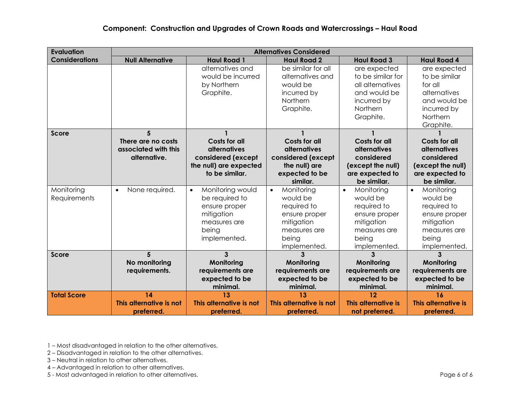| <b>Evaluation</b>     |                             |                               | <b>Alternatives Considered</b> |                         |                         |
|-----------------------|-----------------------------|-------------------------------|--------------------------------|-------------------------|-------------------------|
| <b>Considerations</b> | <b>Null Alternative</b>     | <b>Haul Road 1</b>            | <b>Haul Road 2</b>             | <b>Haul Road 3</b>      | <b>Haul Road 4</b>      |
|                       |                             | alternatives and              | be similar for all             | are expected            | are expected            |
|                       |                             | would be incurred             | alternatives and               | to be similar for       | to be similar           |
|                       |                             | by Northern                   | would be                       | all alternatives        | for all                 |
|                       |                             | Graphite.                     | incurred by                    | and would be            | alternatives            |
|                       |                             |                               | Northern                       | incurred by             | and would be            |
|                       |                             |                               | Graphite.                      | Northern                | incurred by             |
|                       |                             |                               |                                | Graphite.               | Northern                |
|                       |                             |                               |                                |                         | Graphite.               |
| <b>Score</b>          | 5                           |                               |                                |                         |                         |
|                       | There are no costs          | <b>Costs for all</b>          | <b>Costs for all</b>           | <b>Costs for all</b>    | <b>Costs for all</b>    |
|                       | associated with this        | <b>alternatives</b>           | alternatives                   | <b>alternatives</b>     | alternatives            |
|                       | alternative.                | considered (except            | considered (except             | considered              | considered              |
|                       |                             | the null) are expected        | the null) are                  | (except the null)       | (except the null)       |
|                       |                             | to be similar.                | expected to be                 | are expected to         | are expected to         |
|                       |                             |                               | similar.                       | be similar.             | be similar.             |
| Monitoring            | None required.<br>$\bullet$ | Monitoring would<br>$\bullet$ | Monitoring<br>$\bullet$        | Monitoring<br>$\bullet$ | Monitoring<br>$\bullet$ |
| Requirements          |                             | be required to                | would be                       | would be                | would be                |
|                       |                             | ensure proper                 | required to                    | required to             | required to             |
|                       |                             | mitigation                    | ensure proper                  | ensure proper           | ensure proper           |
|                       |                             | measures are                  | mitigation                     | mitigation              | mitigation              |
|                       |                             | being<br>implemented.         | measures are                   | measures are            | measures are            |
|                       |                             |                               | being<br>implemented.          | being<br>implemented.   | being<br>implemented.   |
| <b>Score</b>          | 5                           | 3                             |                                | 3                       |                         |
|                       | No monitoring               | Monitoring                    | Monitoring                     | Monitoring              | Monitoring              |
|                       | requirements.               | requirements are              | requirements are               | requirements are        | requirements are        |
|                       |                             | expected to be                | expected to be                 | expected to be          | expected to be          |
|                       |                             | minimal.                      | minimal.                       | minimal.                | minimal.                |
| <b>Total Score</b>    | 14                          | 13                            | 13                             | 12                      | 16                      |
|                       | This alternative is not     | This alternative is not       | This alternative is not        | This alternative is     | This alternative is     |
|                       | preferred.                  | preferred.                    | preferred.                     | not preferred.          | preferred.              |

2 – Disadvantaged in relation to the other alternatives.

- 3 Neutral in relation to other alternatives.
- 4 Advantaged in relation to other alternatives.

5 - Most advantaged in relation to other alternatives. **Page 6 of 6** and 2011 and 2012 and 2013 and 2013 and 201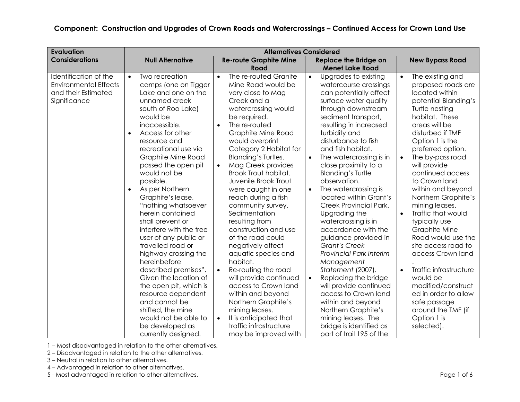| <b>Evaluation</b>                                                                            |                                                                                                                                                                                                                                                                                                                                                                                                                                                                                                                                                                                                                                                                                                                                                        | <b>Alternatives Considered</b>                                                                                                                                                                                                                                                                                                                                                                                                                                                                                                                                                                                                                                                                                                                                                                                      |                                                                                                                                                                                                                                                                                                                                                                                                                                                                                                                                                                                                                                                                                                                                                                                                                                                            |                                                                                                                                                                                                                                                                                                                                                                                                                                                                                                                                                                                                                                                                  |
|----------------------------------------------------------------------------------------------|--------------------------------------------------------------------------------------------------------------------------------------------------------------------------------------------------------------------------------------------------------------------------------------------------------------------------------------------------------------------------------------------------------------------------------------------------------------------------------------------------------------------------------------------------------------------------------------------------------------------------------------------------------------------------------------------------------------------------------------------------------|---------------------------------------------------------------------------------------------------------------------------------------------------------------------------------------------------------------------------------------------------------------------------------------------------------------------------------------------------------------------------------------------------------------------------------------------------------------------------------------------------------------------------------------------------------------------------------------------------------------------------------------------------------------------------------------------------------------------------------------------------------------------------------------------------------------------|------------------------------------------------------------------------------------------------------------------------------------------------------------------------------------------------------------------------------------------------------------------------------------------------------------------------------------------------------------------------------------------------------------------------------------------------------------------------------------------------------------------------------------------------------------------------------------------------------------------------------------------------------------------------------------------------------------------------------------------------------------------------------------------------------------------------------------------------------------|------------------------------------------------------------------------------------------------------------------------------------------------------------------------------------------------------------------------------------------------------------------------------------------------------------------------------------------------------------------------------------------------------------------------------------------------------------------------------------------------------------------------------------------------------------------------------------------------------------------------------------------------------------------|
| <b>Considerations</b>                                                                        | <b>Null Alternative</b>                                                                                                                                                                                                                                                                                                                                                                                                                                                                                                                                                                                                                                                                                                                                | <b>Re-route Graphite Mine</b><br>Road                                                                                                                                                                                                                                                                                                                                                                                                                                                                                                                                                                                                                                                                                                                                                                               | <b>Replace the Bridge on</b><br><b>Menet Lake Road</b>                                                                                                                                                                                                                                                                                                                                                                                                                                                                                                                                                                                                                                                                                                                                                                                                     | <b>New Bypass Road</b>                                                                                                                                                                                                                                                                                                                                                                                                                                                                                                                                                                                                                                           |
| Identification of the<br><b>Environmental Effects</b><br>and their Estimated<br>Significance | Two recreation<br>$\bullet$<br>camps (one on Tigger<br>Lake and one on the<br>unnamed creek<br>south of Roo Lake)<br>would be<br>inaccessible.<br>Access for other<br>$\bullet$<br>resource and<br>recreational use via<br><b>Graphite Mine Road</b><br>passed the open pit<br>would not be<br>possible.<br>As per Northern<br>$\bullet$<br>Graphite's lease,<br>"nothing whatsoever<br>herein contained<br>shall prevent or<br>interfere with the free<br>user of any public or<br>travelled road or<br>highway crossing the<br>hereinbefore<br>described premises".<br>Given the location of<br>the open pit, which is<br>resource dependent<br>and cannot be<br>shifted, the mine<br>would not be able to<br>be developed as<br>currently designed. | The re-routed Granite<br>$\bullet$<br>Mine Road would be<br>very close to Mag<br>Creek and a<br>watercrossing would<br>be required.<br>The re-routed<br>$\bullet$<br><b>Graphite Mine Road</b><br>would overprint<br>Category 2 Habitat for<br><b>Blanding's Turtles.</b><br>Mag Creek provides<br>$\bullet$<br>Brook Trout habitat.<br>Juvenile Brook Trout<br>were caught in one<br>reach during a fish<br>community survey.<br>Sedimentation<br>resulting from<br>construction and use<br>of the road could<br>negatively affect<br>aquatic species and<br>habitat.<br>Re-routing the road<br>$\bullet$<br>will provide continued<br>access to Crown land<br>within and beyond<br>Northern Graphite's<br>mining leases.<br>It is anticipated that<br>$\bullet$<br>traffic infrastructure<br>may be improved with | Upgrades to existing<br>$\bullet$<br>watercourse crossings<br>can potentially affect<br>surface water quality<br>through downstream<br>sediment transport,<br>resulting in increased<br>turbidity and<br>disturbance to fish<br>and fish habitat.<br>The watercrossing is in<br>$\bullet$<br>close proximity to a<br><b>Blanding's Turtle</b><br>observation.<br>The watercrossing is<br>$\bullet$<br>located within Grant's<br>Creek Provincial Park.<br>Upgrading the<br>watercrossing is in<br>accordance with the<br>guidance provided in<br><b>Grant's Creek</b><br><b>Provincial Park Interim</b><br>Management<br>Statement (2007).<br>Replacing the bridge<br>$\bullet$<br>will provide continued<br>access to Crown land<br>within and beyond<br>Northern Graphite's<br>mining leases. The<br>bridge is identified as<br>part of trail 195 of the | The existing and<br>$\bullet$<br>proposed roads are<br>located within<br>potential Blanding's<br>Turtle nesting<br>habitat. These<br>areas will be<br>disturbed if TMF<br>Option 1 is the<br>preferred option.<br>The by-pass road<br>$\bullet$<br>will provide<br>continued access<br>to Crown land<br>within and beyond<br>Northern Graphite's<br>mining leases.<br>Traffic that would<br>typically use<br>Graphite Mine<br>Road would use the<br>site access road to<br>access Crown land<br>Traffic infrastructure<br>$\bullet$<br>would be<br>modified/construct<br>ed in order to allow<br>safe passage<br>around the TMF (if<br>Option 1 is<br>selected). |

1 – Most disadvantaged in relation to the other alternatives.

2 – Disadvantaged in relation to the other alternatives.

3 – Neutral in relation to other alternatives.

4 – Advantaged in relation to other alternatives.

5 - Most advantaged in relation to other alternatives. **Page 1 of 6** Assembly 2008 and 2011 and 2012 and 2013 and 2014 and 2013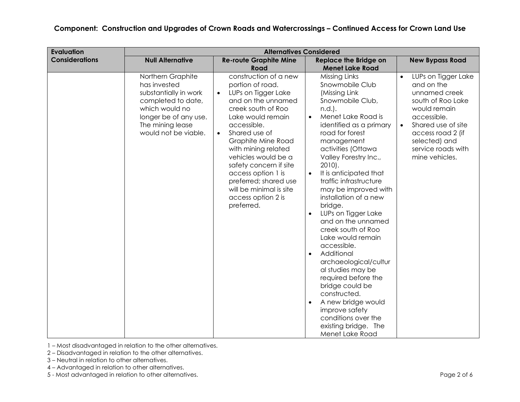| <b>Evaluation</b>     | <b>Alternatives Considered</b>                                                                                                                                          |                                                                                                                                                                                                                                                                                                                                                                                                                |                                                                                                                                                                                                                                                                                                                                                                                                                                                                                                                                                                                                                                                                                                                            |                                                                                                                                                                                                                         |
|-----------------------|-------------------------------------------------------------------------------------------------------------------------------------------------------------------------|----------------------------------------------------------------------------------------------------------------------------------------------------------------------------------------------------------------------------------------------------------------------------------------------------------------------------------------------------------------------------------------------------------------|----------------------------------------------------------------------------------------------------------------------------------------------------------------------------------------------------------------------------------------------------------------------------------------------------------------------------------------------------------------------------------------------------------------------------------------------------------------------------------------------------------------------------------------------------------------------------------------------------------------------------------------------------------------------------------------------------------------------------|-------------------------------------------------------------------------------------------------------------------------------------------------------------------------------------------------------------------------|
| <b>Considerations</b> | <b>Null Alternative</b>                                                                                                                                                 | <b>Re-route Graphite Mine</b><br>Road                                                                                                                                                                                                                                                                                                                                                                          | <b>Replace the Bridge on</b><br><b>Menet Lake Road</b>                                                                                                                                                                                                                                                                                                                                                                                                                                                                                                                                                                                                                                                                     | <b>New Bypass Road</b>                                                                                                                                                                                                  |
|                       | Northern Graphite<br>has invested<br>substantially in work<br>completed to date,<br>which would no<br>longer be of any use.<br>The mining lease<br>would not be viable. | construction of a new<br>portion of road.<br>LUPs on Tigger Lake<br>$\bullet$<br>and on the unnamed<br>creek south of Roo<br>Lake would remain<br>accessible.<br>Shared use of<br>$\bullet$<br><b>Graphite Mine Road</b><br>with mining related<br>vehicles would be a<br>safety concern if site<br>access option 1 is<br>preferred; shared use<br>will be minimal is site<br>access option 2 is<br>preferred. | Missing Links<br>Snowmobile Club<br>(Missing Link<br>Snowmobile Club,<br>n.d.).<br>Menet Lake Road is<br>$\bullet$<br>identified as a primary<br>road for forest<br>management<br>activities (Ottawa<br>Valley Forestry Inc.,<br>$2010$ .<br>It is anticipated that<br>traffic infrastructure<br>may be improved with<br>installation of a new<br>bridge.<br>LUPs on Tigger Lake<br>and on the unnamed<br>creek south of Roo<br>Lake would remain<br>accessible.<br>Additional<br>$\bullet$<br>archaeological/cultur<br>al studies may be<br>required before the<br>bridge could be<br>constructed.<br>A new bridge would<br>$\bullet$<br>improve safety<br>conditions over the<br>existing bridge. The<br>Menet Lake Road | LUPs on Tigger Lake<br>and on the<br>unnamed creek<br>south of Roo Lake<br>would remain<br>accessible.<br>Shared use of site<br>$\bullet$<br>access road 2 (if<br>selected) and<br>service roads with<br>mine vehicles. |

1 – Most disadvantaged in relation to the other alternatives.

2 – Disadvantaged in relation to the other alternatives.

- 3 Neutral in relation to other alternatives.
- 4 Advantaged in relation to other alternatives.

5 - Most advantaged in relation to other alternatives. **Page 2 of 6** services and a series of 6 services and a series of 6 series and a series of 6 series and a series of 6 series and a series of 6 series and a series of 6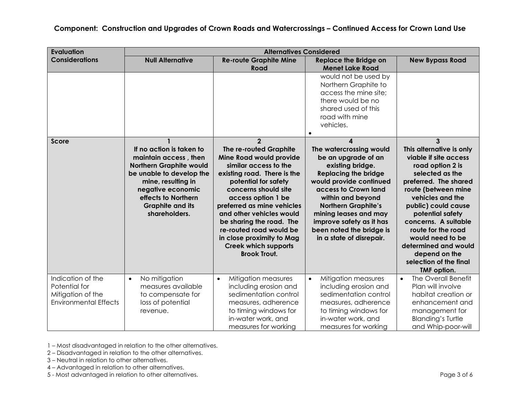| <b>Evaluation</b>                                                                       |                                                                                                                                                                                                                               | <b>Alternatives Considered</b>                                                                                                                                                                                                                                                                                                                                                                        |                                                                                                                                                                                                                                                                                                                           |                                                                                                                                                                                                                                                                                                                                                                         |
|-----------------------------------------------------------------------------------------|-------------------------------------------------------------------------------------------------------------------------------------------------------------------------------------------------------------------------------|-------------------------------------------------------------------------------------------------------------------------------------------------------------------------------------------------------------------------------------------------------------------------------------------------------------------------------------------------------------------------------------------------------|---------------------------------------------------------------------------------------------------------------------------------------------------------------------------------------------------------------------------------------------------------------------------------------------------------------------------|-------------------------------------------------------------------------------------------------------------------------------------------------------------------------------------------------------------------------------------------------------------------------------------------------------------------------------------------------------------------------|
| <b>Considerations</b>                                                                   | <b>Null Alternative</b>                                                                                                                                                                                                       | <b>Re-route Graphite Mine</b><br>Road                                                                                                                                                                                                                                                                                                                                                                 | <b>Replace the Bridge on</b><br><b>Menet Lake Road</b>                                                                                                                                                                                                                                                                    | <b>New Bypass Road</b>                                                                                                                                                                                                                                                                                                                                                  |
|                                                                                         |                                                                                                                                                                                                                               |                                                                                                                                                                                                                                                                                                                                                                                                       | would not be used by<br>Northern Graphite to<br>access the mine site;<br>there would be no<br>shared used of this<br>road with mine<br>vehicles.                                                                                                                                                                          |                                                                                                                                                                                                                                                                                                                                                                         |
| <b>Score</b>                                                                            | If no action is taken to<br>maintain access, then<br><b>Northern Graphite would</b><br>be unable to develop the<br>mine, resulting in<br>negative economic<br>effects to Northern<br><b>Graphite and its</b><br>shareholders. | $\overline{2}$<br>The re-routed Graphite<br>Mine Road would provide<br>similar access to the<br>existing road. There is the<br>potential for safety<br>concerns should site<br>access option 1 be<br>preferred as mine vehicles<br>and other vehicles would<br>be sharing the road. The<br>re-routed road would be<br>in close proximity to Mag<br><b>Creek which supports</b><br><b>Brook Trout.</b> | 4<br>The watercrossing would<br>be an upgrade of an<br>existing bridge.<br><b>Replacing the bridge</b><br>would provide continued<br>access to Crown land<br>within and beyond<br><b>Northern Graphite's</b><br>mining leases and may<br>improve safety as it has<br>been noted the bridge is<br>in a state of disrepair. | 3<br>This alternative is only<br>viable if site access<br>road option 2 is<br>selected as the<br>preferred. The shared<br>route (between mine<br>vehicles and the<br>public) could cause<br>potential safety<br>concerns. A suitable<br>route for the road<br>would need to be<br>determined and would<br>depend on the<br>selection of the final<br><b>TMF</b> option. |
| Indication of the<br>Potential for<br>Mitigation of the<br><b>Environmental Effects</b> | No mitigation<br>$\bullet$<br>measures available<br>to compensate for<br>loss of potential<br>revenue.                                                                                                                        | Mitigation measures<br>$\bullet$<br>including erosion and<br>sedimentation control<br>measures, adherence<br>to timing windows for<br>in-water work, and<br>measures for working                                                                                                                                                                                                                      | Mitigation measures<br>$\bullet$<br>including erosion and<br>sedimentation control<br>measures, adherence<br>to timing windows for<br>in-water work, and<br>measures for working                                                                                                                                          | The Overall Benefit<br>$\bullet$<br>Plan will involve<br>habitat creation or<br>enhancement and<br>management for<br><b>Blanding's Turtle</b><br>and Whip-poor-will                                                                                                                                                                                                     |

1 – Most disadvantaged in relation to the other alternatives.

2 – Disadvantaged in relation to the other alternatives.

- 3 Neutral in relation to other alternatives.
- 4 Advantaged in relation to other alternatives.

5 - Most advantaged in relation to other alternatives. **Page 3 of 6** and 2011 and 2012 and 2013 of 6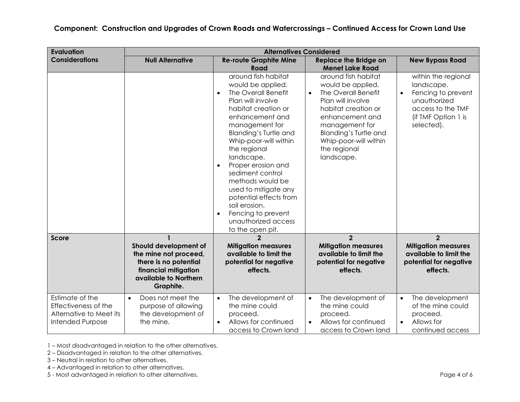| <b>Evaluation</b>                                                                      | <b>Alternatives Considered</b>                                                                                                                        |                                                                                                                                                                                                                                                                                                                                                                                                                                                                                   |                                                                                                                                                                                                                                                                                |                                                                                                                                   |
|----------------------------------------------------------------------------------------|-------------------------------------------------------------------------------------------------------------------------------------------------------|-----------------------------------------------------------------------------------------------------------------------------------------------------------------------------------------------------------------------------------------------------------------------------------------------------------------------------------------------------------------------------------------------------------------------------------------------------------------------------------|--------------------------------------------------------------------------------------------------------------------------------------------------------------------------------------------------------------------------------------------------------------------------------|-----------------------------------------------------------------------------------------------------------------------------------|
| <b>Considerations</b>                                                                  | <b>Null Alternative</b>                                                                                                                               | <b>Re-route Graphite Mine</b>                                                                                                                                                                                                                                                                                                                                                                                                                                                     | <b>Replace the Bridge on</b>                                                                                                                                                                                                                                                   | <b>New Bypass Road</b>                                                                                                            |
|                                                                                        |                                                                                                                                                       | Road<br>around fish habitat<br>would be applied.<br>The Overall Benefit<br>$\bullet$<br>Plan will involve<br>habitat creation or<br>enhancement and<br>management for<br>Blanding's Turtle and<br>Whip-poor-will within<br>the regional<br>landscape.<br>Proper erosion and<br>$\bullet$<br>sediment control<br>methods would be<br>used to mitigate any<br>potential effects from<br>soil erosion.<br>Fencing to prevent<br>$\bullet$<br>unauthorized access<br>to the open pit. | <b>Menet Lake Road</b><br>around fish habitat<br>would be applied.<br>The Overall Benefit<br>$\bullet$<br>Plan will involve<br>habitat creation or<br>enhancement and<br>management for<br><b>Blanding's Turtle and</b><br>Whip-poor-will within<br>the regional<br>landscape. | within the regional<br>landscape.<br>Fencing to prevent<br>unauthorized<br>access to the TMF<br>(if TMF Option 1 is<br>selected). |
| <b>Score</b>                                                                           | $\mathbf{1}$<br>Should development of<br>the mine not proceed,<br>there is no potential<br>financial mitigation<br>available to Northern<br>Graphite. | $\overline{2}$<br><b>Mitigation measures</b><br>available to limit the<br>potential for negative<br>effects.                                                                                                                                                                                                                                                                                                                                                                      | $\overline{2}$<br><b>Mitigation measures</b><br>available to limit the<br>potential for negative<br>effects.                                                                                                                                                                   | $\overline{2}$<br><b>Mitigation measures</b><br>available to limit the<br>potential for negative<br>effects.                      |
| Estimate of the<br>Effectiveness of the<br>Alternative to Meet its<br>Intended Purpose | Does not meet the<br>$\bullet$<br>purpose of allowing<br>the development of<br>the mine.                                                              | The development of<br>$\bullet$<br>the mine could<br>proceed.<br>Allows for continued<br>$\bullet$<br>access to Crown land                                                                                                                                                                                                                                                                                                                                                        | The development of<br>$\bullet$<br>the mine could<br>proceed.<br>Allows for continued<br>access to Crown land                                                                                                                                                                  | The development<br>of the mine could<br>proceed.<br>Allows for<br>$\bullet$<br>continued access                                   |

1 – Most disadvantaged in relation to the other alternatives.

2 – Disadvantaged in relation to the other alternatives.

3 – Neutral in relation to other alternatives.

4 – Advantaged in relation to other alternatives.

5 - Most advantaged in relation to other alternatives. **Page 4 of 6** Apple 1 and 2011 1 and 2012 1 and 2013 1 and 2014 1 and 2014 1 and 2015 1 and 2016 1 and 2016 1 and 2016 1 and 2016 1 and 2016 1 and 2016 1 and 2016 1 an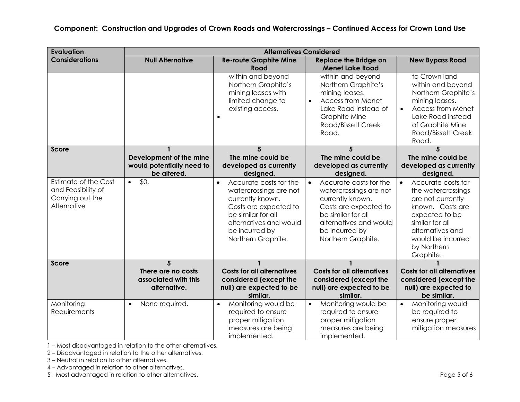| <b>Evaluation</b>                                                             | <b>Alternatives Considered</b>                             |                                                                                                                                                                                                    |                                                                                                                                                                                                    |                                                                                                                                                                                                          |
|-------------------------------------------------------------------------------|------------------------------------------------------------|----------------------------------------------------------------------------------------------------------------------------------------------------------------------------------------------------|----------------------------------------------------------------------------------------------------------------------------------------------------------------------------------------------------|----------------------------------------------------------------------------------------------------------------------------------------------------------------------------------------------------------|
| <b>Considerations</b>                                                         | <b>Null Alternative</b>                                    | <b>Re-route Graphite Mine</b><br>Road                                                                                                                                                              | <b>Replace the Bridge on</b><br><b>Menet Lake Road</b>                                                                                                                                             | <b>New Bypass Road</b>                                                                                                                                                                                   |
|                                                                               |                                                            | within and beyond<br>Northern Graphite's<br>mining leases with<br>limited change to<br>existing access.<br>$\bullet$                                                                               | within and beyond<br>Northern Graphite's<br>mining leases.<br><b>Access from Menet</b><br>$\bullet$<br>Lake Road instead of<br><b>Graphite Mine</b><br>Road/Bissett Creek<br>Road.                 | to Crown land<br>within and beyond<br>Northern Graphite's<br>mining leases.<br><b>Access from Menet</b><br>$\bullet$<br>Lake Road instead<br>of Graphite Mine<br><b>Road/Bissett Creek</b><br>Road.      |
| <b>Score</b>                                                                  |                                                            | 5                                                                                                                                                                                                  | 5                                                                                                                                                                                                  | 5                                                                                                                                                                                                        |
|                                                                               | Development of the mine<br>would potentially need to       | The mine could be<br>developed as currently                                                                                                                                                        | The mine could be<br>developed as currently                                                                                                                                                        | The mine could be<br>developed as currently                                                                                                                                                              |
|                                                                               | be altered.                                                | designed.                                                                                                                                                                                          | designed.                                                                                                                                                                                          | designed.                                                                                                                                                                                                |
| Estimate of the Cost<br>and Feasibility of<br>Carrying out the<br>Alternative | \$0.<br>$\bullet$                                          | Accurate costs for the<br>$\bullet$<br>watercrossings are not<br>currently known.<br>Costs are expected to<br>be similar for all<br>alternatives and would<br>be incurred by<br>Northern Graphite. | Accurate costs for the<br>$\bullet$<br>watercrossings are not<br>currently known.<br>Costs are expected to<br>be similar for all<br>alternatives and would<br>be incurred by<br>Northern Graphite. | Accurate costs for<br>$\bullet$<br>the watercrossings<br>are not currently<br>known. Costs are<br>expected to be<br>similar for all<br>alternatives and<br>would be incurred<br>by Northern<br>Graphite. |
| <b>Score</b>                                                                  | 5                                                          |                                                                                                                                                                                                    |                                                                                                                                                                                                    |                                                                                                                                                                                                          |
|                                                                               | There are no costs<br>associated with this<br>alternative. | <b>Costs for all alternatives</b><br>considered (except the<br>null) are expected to be<br>similar.                                                                                                | <b>Costs for all alternatives</b><br>considered (except the<br>null) are expected to be<br>similar.                                                                                                | <b>Costs for all alternatives</b><br>considered (except the<br>null) are expected to<br>be similar.                                                                                                      |
| Monitoring<br>Requirements                                                    | None required.<br>$\bullet$                                | Monitoring would be<br>$\bullet$<br>required to ensure<br>proper mitigation<br>measures are being<br>implemented.                                                                                  | Monitoring would be<br>$\bullet$<br>required to ensure<br>proper mitigation<br>measures are being<br>implemented.                                                                                  | Monitoring would<br>$\bullet$<br>be required to<br>ensure proper<br>mitigation measures                                                                                                                  |

1 – Most disadvantaged in relation to the other alternatives.

2 – Disadvantaged in relation to the other alternatives.

3 – Neutral in relation to other alternatives.

4 – Advantaged in relation to other alternatives.

5 - Most advantaged in relation to other alternatives. **Page 5 of 6** and  $\overline{a}$  and  $\overline{b}$  and  $\overline{c}$  and  $\overline{d}$  and  $\overline{b}$  and  $\overline{c}$  and  $\overline{d}$  and  $\overline{b}$  and  $\overline{b}$  and  $\overline{c}$  and  $\overline{d}$  and  $\overline{b$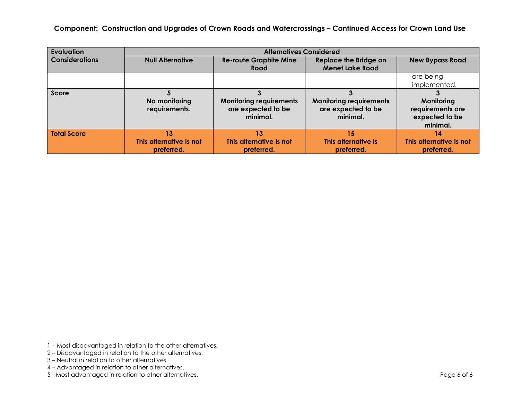| Evaluation            |                                | <b>Alternatives Considered</b>                                   |                                                                  |                                                              |
|-----------------------|--------------------------------|------------------------------------------------------------------|------------------------------------------------------------------|--------------------------------------------------------------|
| <b>Considerations</b> | <b>Null Alternative</b>        | <b>Re-route Graphite Mine</b>                                    | <b>Replace the Bridge on</b>                                     | <b>New Bypass Road</b>                                       |
|                       |                                | Road                                                             | <b>Menet Lake Road</b>                                           |                                                              |
|                       |                                |                                                                  |                                                                  | are being                                                    |
|                       |                                |                                                                  |                                                                  | implemented.                                                 |
| Score                 |                                |                                                                  |                                                                  |                                                              |
|                       | No monitoring<br>requirements. | <b>Monitoring requirements</b><br>are expected to be<br>minimal. | <b>Monitoring requirements</b><br>are expected to be<br>minimal. | Monitoring<br>requirements are<br>expected to be<br>minimal. |
| <b>Total Score</b>    | 13 <sup>1</sup>                | 13 <sup>1</sup>                                                  | 15                                                               | 14                                                           |
|                       | This alternative is not        | This alternative is not                                          | This alternative is                                              | This alternative is not                                      |
|                       | preferred.                     | preferred.                                                       | preferred.                                                       | preferred.                                                   |

- 1 Most disadvantaged in relation to the other alternatives.
- 2 Disadvantaged in relation to the other alternatives.
- 3 Neutral in relation to other alternatives.
- 4 Advantaged in relation to other alternatives.
- 5 Most advantaged in relation to other alternatives. **Page 6 of 6** series and a series of 6 series and a series of 6 series and a series of 6 series and a series of 6 series and a series of 6 series and a series of 6 ser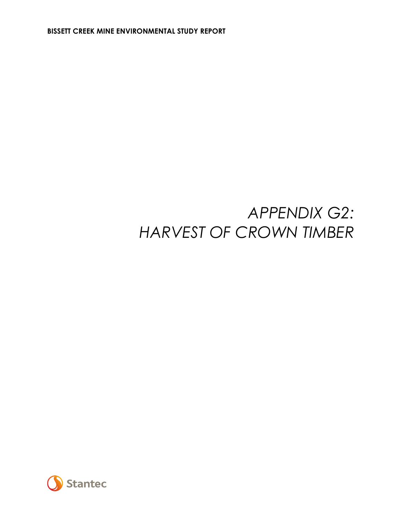### *APPENDIX G2: HARVEST OF CROWN TIMBER*

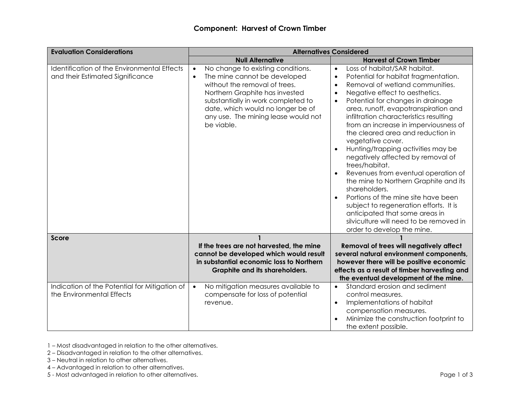| <b>Evaluation Considerations</b>                                                | <b>Alternatives Considered</b>                                                                                                                                                                                                                                                                 |                                                                                                                                                                                                                                                                                                                                                                                                                                                                                                                                                                                                                                                                                                                                                                                                                                |  |
|---------------------------------------------------------------------------------|------------------------------------------------------------------------------------------------------------------------------------------------------------------------------------------------------------------------------------------------------------------------------------------------|--------------------------------------------------------------------------------------------------------------------------------------------------------------------------------------------------------------------------------------------------------------------------------------------------------------------------------------------------------------------------------------------------------------------------------------------------------------------------------------------------------------------------------------------------------------------------------------------------------------------------------------------------------------------------------------------------------------------------------------------------------------------------------------------------------------------------------|--|
|                                                                                 | <b>Null Alternative</b>                                                                                                                                                                                                                                                                        | <b>Harvest of Crown Timber</b>                                                                                                                                                                                                                                                                                                                                                                                                                                                                                                                                                                                                                                                                                                                                                                                                 |  |
| Identification of the Environmental Effects<br>and their Estimated Significance | No change to existing conditions.<br>$\bullet$<br>The mine cannot be developed<br>$\bullet$<br>without the removal of trees.<br>Northern Graphite has invested<br>substantially in work completed to<br>date, which would no longer be of<br>any use. The mining lease would not<br>be viable. | Loss of habitat/SAR habitat.<br>$\bullet$<br>Potential for habitat fragmentation.<br>$\bullet$<br>Removal of wetland communities.<br>$\bullet$<br>Negative effect to aesthetics.<br>$\bullet$<br>Potential for changes in drainage<br>$\bullet$<br>area, runoff, evapotranspiration and<br>infiltration characteristics resulting<br>from an increase in imperviousness of<br>the cleared area and reduction in<br>vegetative cover.<br>Hunting/trapping activities may be<br>negatively affected by removal of<br>trees/habitat.<br>Revenues from eventual operation of<br>the mine to Northern Graphite and its<br>shareholders.<br>Portions of the mine site have been<br>subject to regeneration efforts. It is<br>anticipated that some areas in<br>silviculture will need to be removed in<br>order to develop the mine. |  |
| Score                                                                           | If the trees are not harvested, the mine<br>cannot be developed which would result                                                                                                                                                                                                             | Removal of trees will negatively affect<br>several natural environment components,                                                                                                                                                                                                                                                                                                                                                                                                                                                                                                                                                                                                                                                                                                                                             |  |
|                                                                                 | in substantial economic loss to Northern<br>Graphite and its shareholders.                                                                                                                                                                                                                     | however there will be positive economic<br>effects as a result of timber harvesting and<br>the eventual development of the mine.                                                                                                                                                                                                                                                                                                                                                                                                                                                                                                                                                                                                                                                                                               |  |
| Indication of the Potential for Mitigation of<br>the Environmental Effects      | No mitigation measures available to<br>$\bullet$<br>compensate for loss of potential<br>revenue.                                                                                                                                                                                               | Standard erosion and sediment<br>$\bullet$<br>control measures.<br>Implementations of habitat<br>$\bullet$<br>compensation measures.<br>Minimize the construction footprint to<br>the extent possible.                                                                                                                                                                                                                                                                                                                                                                                                                                                                                                                                                                                                                         |  |

2 – Disadvantaged in relation to the other alternatives.

- 3 Neutral in relation to other alternatives.
- 4 Advantaged in relation to other alternatives.

5 - Most advantaged in relation to other alternatives. Page 1 of 3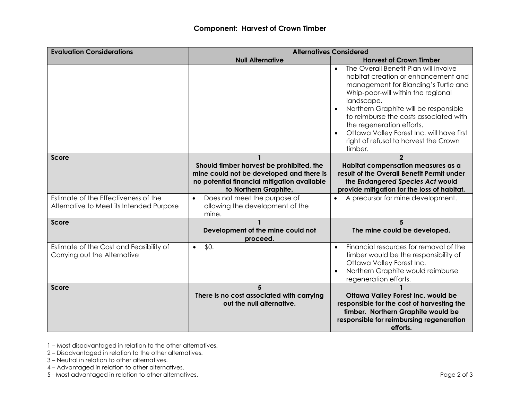| <b>Evaluation Considerations</b>                                                 | <b>Alternatives Considered</b>                                                                                                                               |                                                                                                                                                                                                                                                                                                                                                                                                        |  |  |
|----------------------------------------------------------------------------------|--------------------------------------------------------------------------------------------------------------------------------------------------------------|--------------------------------------------------------------------------------------------------------------------------------------------------------------------------------------------------------------------------------------------------------------------------------------------------------------------------------------------------------------------------------------------------------|--|--|
|                                                                                  | <b>Null Alternative</b>                                                                                                                                      | <b>Harvest of Crown Timber</b>                                                                                                                                                                                                                                                                                                                                                                         |  |  |
|                                                                                  |                                                                                                                                                              | The Overall Benefit Plan will involve<br>$\bullet$<br>habitat creation or enhancement and<br>management for Blanding's Turtle and<br>Whip-poor-will within the regional<br>landscape.<br>Northern Graphite will be responsible<br>to reimburse the costs associated with<br>the regeneration efforts.<br>Ottawa Valley Forest Inc. will have first<br>right of refusal to harvest the Crown<br>timber. |  |  |
| Score                                                                            | Should timber harvest be prohibited, the<br>mine could not be developed and there is<br>no potential financial mitigation available<br>to Northern Graphite. | $\overline{2}$<br>Habitat compensation measures as a<br>result of the Overall Benefit Permit under<br>the Endangered Species Act would<br>provide mitigation for the loss of habitat.                                                                                                                                                                                                                  |  |  |
| Estimate of the Effectiveness of the<br>Alternative to Meet its Intended Purpose | Does not meet the purpose of<br>$\bullet$<br>allowing the development of the<br>mine.                                                                        | A precursor for mine development.                                                                                                                                                                                                                                                                                                                                                                      |  |  |
| Score                                                                            | Development of the mine could not<br>proceed.                                                                                                                | 5<br>The mine could be developed.                                                                                                                                                                                                                                                                                                                                                                      |  |  |
| Estimate of the Cost and Feasibility of<br>Carrying out the Alternative          | \$0.<br>$\bullet$                                                                                                                                            | Financial resources for removal of the<br>$\bullet$<br>timber would be the responsibility of<br>Ottawa Valley Forest Inc.<br>Northern Graphite would reimburse<br>regeneration efforts.                                                                                                                                                                                                                |  |  |
| Score                                                                            | 5<br>There is no cost associated with carrying<br>out the null alternative.                                                                                  | <b>Ottawa Valley Forest Inc. would be</b><br>responsible for the cost of harvesting the<br>timber. Northern Graphite would be<br>responsible for reimbursing regeneration<br>efforts.                                                                                                                                                                                                                  |  |  |

2 – Disadvantaged in relation to the other alternatives.

- 3 Neutral in relation to other alternatives.
- 4 Advantaged in relation to other alternatives.

5 - Most advantaged in relation to other alternatives. **Page 2 of 3** and 2 of 3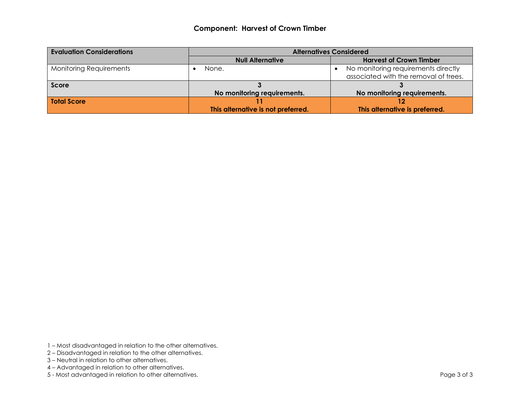#### **Component: Harvest of Crown Timber**

| <b>Evaluation Considerations</b> | <b>Alternatives Considered</b>     |                                       |
|----------------------------------|------------------------------------|---------------------------------------|
|                                  | <b>Null Alternative</b>            | <b>Harvest of Crown Timber</b>        |
| <b>Monitoring Requirements</b>   | None.                              | No monitoring requirements directly   |
|                                  |                                    | associated with the removal of trees. |
| Score                            |                                    |                                       |
|                                  | No monitoring requirements.        | No monitoring requirements.           |
| <b>Total Score</b>               |                                    |                                       |
|                                  | This alternative is not preferred. | This alternative is preferred.        |

- 1 Most disadvantaged in relation to the other alternatives.
- 2 Disadvantaged in relation to the other alternatives.
- 3 Neutral in relation to other alternatives.
- 4 Advantaged in relation to other alternatives.
- 5 Most advantaged in relation to other alternatives. Page 3 of 3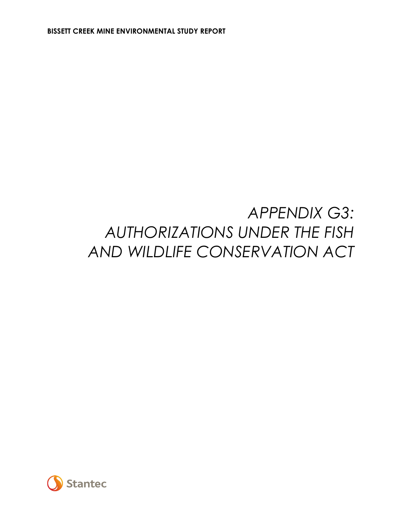# *APPENDIX G3: AUTHORIZATIONS UNDER THE FISH AND WILDLIFE CONSERVATION ACT*

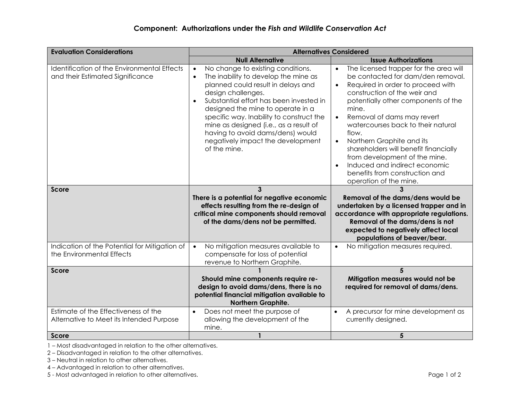| <b>Evaluation Considerations</b>                                                 | <b>Alternatives Considered</b>                                                                                                                                                                                                                                                                                                                                                                                                 |                                                                                                                                                                                                                                                                                                                                                                                                                                                                                                                                                    |  |  |
|----------------------------------------------------------------------------------|--------------------------------------------------------------------------------------------------------------------------------------------------------------------------------------------------------------------------------------------------------------------------------------------------------------------------------------------------------------------------------------------------------------------------------|----------------------------------------------------------------------------------------------------------------------------------------------------------------------------------------------------------------------------------------------------------------------------------------------------------------------------------------------------------------------------------------------------------------------------------------------------------------------------------------------------------------------------------------------------|--|--|
|                                                                                  | <b>Null Alternative</b>                                                                                                                                                                                                                                                                                                                                                                                                        | <b>Issue Authorizations</b>                                                                                                                                                                                                                                                                                                                                                                                                                                                                                                                        |  |  |
| Identification of the Environmental Effects<br>and their Estimated Significance  | No change to existing conditions.<br>$\bullet$<br>The inability to develop the mine as<br>$\bullet$<br>planned could result in delays and<br>design challenges.<br>Substantial effort has been invested in<br>designed the mine to operate in a<br>specific way. Inability to construct the<br>mine as designed (i.e., as a result of<br>having to avoid dams/dens) would<br>negatively impact the development<br>of the mine. | The licensed trapper for the area will<br>$\bullet$<br>be contacted for dam/den removal.<br>Required in order to proceed with<br>$\bullet$<br>construction of the weir and<br>potentially other components of the<br>mine.<br>Removal of dams may revert<br>$\bullet$<br>watercourses back to their natural<br>flow.<br>Northern Graphite and its<br>$\bullet$<br>shareholders will benefit financially<br>from development of the mine.<br>Induced and indirect economic<br>$\bullet$<br>benefits from construction and<br>operation of the mine. |  |  |
| Score                                                                            | 3<br>There is a potential for negative economic<br>effects resulting from the re-design of<br>critical mine components should removal<br>of the dams/dens not be permitted.                                                                                                                                                                                                                                                    | Removal of the dams/dens would be<br>undertaken by a licensed trapper and in<br>accordance with appropriate regulations.<br>Removal of the dams/dens is not<br>expected to negatively affect local<br>populations of beaver/bear.                                                                                                                                                                                                                                                                                                                  |  |  |
| Indication of the Potential for Mitigation of<br>the Environmental Effects       | No mitigation measures available to<br>$\bullet$<br>compensate for loss of potential<br>revenue to Northern Graphite.                                                                                                                                                                                                                                                                                                          | No mitigation measures required.<br>$\bullet$                                                                                                                                                                                                                                                                                                                                                                                                                                                                                                      |  |  |
| <b>Score</b>                                                                     | Should mine components require re-<br>design to avoid dams/dens, there is no<br>potential financial mitigation available to<br>Northern Graphite.                                                                                                                                                                                                                                                                              | 5<br>Mitigation measures would not be<br>required for removal of dams/dens.                                                                                                                                                                                                                                                                                                                                                                                                                                                                        |  |  |
| Estimate of the Effectiveness of the<br>Alternative to Meet its Intended Purpose | Does not meet the purpose of<br>$\bullet$<br>allowing the development of the<br>mine.                                                                                                                                                                                                                                                                                                                                          | A precursor for mine development as<br>$\bullet$<br>currently designed.                                                                                                                                                                                                                                                                                                                                                                                                                                                                            |  |  |
| Score                                                                            |                                                                                                                                                                                                                                                                                                                                                                                                                                | 5                                                                                                                                                                                                                                                                                                                                                                                                                                                                                                                                                  |  |  |

2 – Disadvantaged in relation to the other alternatives.

3 – Neutral in relation to other alternatives.

4 – Advantaged in relation to other alternatives.

5 - Most advantaged in relation to other alternatives. **Page 1 of 2** and 2 and 2 and 2 and 2 and 2 and 2 and 2 and 2 and 2 and 2 and 2 and 2 and 2 and 2 and 2 and 2 and 2 and 2 and 2 and 2 and 2 and 2 and 2 and 2 and 2 and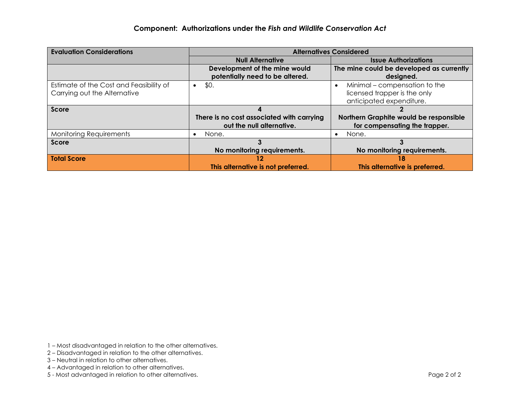| <b>Evaluation Considerations</b>        | <b>Alternatives Considered</b>            |                                          |  |
|-----------------------------------------|-------------------------------------------|------------------------------------------|--|
|                                         | <b>Null Alternative</b>                   | <b>Issue Authorizations</b>              |  |
|                                         | Development of the mine would             | The mine could be developed as currently |  |
|                                         | potentially need to be altered.           | designed.                                |  |
| Estimate of the Cost and Feasibility of | \$0.<br>$\bullet$                         | Minimal – compensation to the            |  |
| Carrying out the Alternative            |                                           | licensed trapper is the only             |  |
|                                         |                                           | anticipated expenditure.                 |  |
| Score                                   |                                           |                                          |  |
|                                         | There is no cost associated with carrying | Northern Graphite would be responsible   |  |
|                                         | out the null alternative.                 | for compensating the trapper.            |  |
| <b>Monitoring Requirements</b>          | None.                                     | None.                                    |  |
| <b>Score</b>                            |                                           |                                          |  |
|                                         | No monitoring requirements.               | No monitoring requirements.              |  |
| <b>Total Score</b>                      | $12^{\circ}$                              | 18                                       |  |
|                                         | This alternative is not preferred.        | This alternative is preferred.           |  |

- 1 Most disadvantaged in relation to the other alternatives.
- 2 Disadvantaged in relation to the other alternatives.
- 3 Neutral in relation to other alternatives.
- 4 Advantaged in relation to other alternatives.
- 5 Most advantaged in relation to other alternatives. Page 2 of 2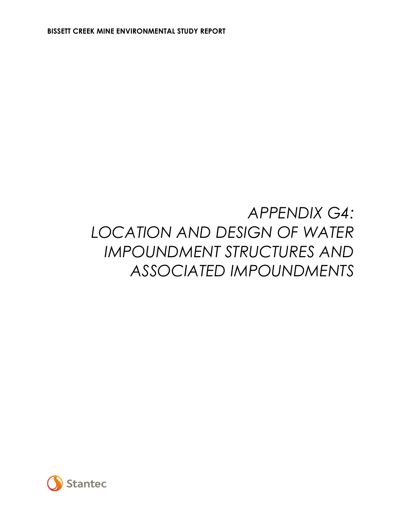## *APPENDIX G4: LOCATION AND DESIGN OF WATER IMPOUNDMENT STRUCTURES AND ASSOCIATED IMPOUNDMENTS*

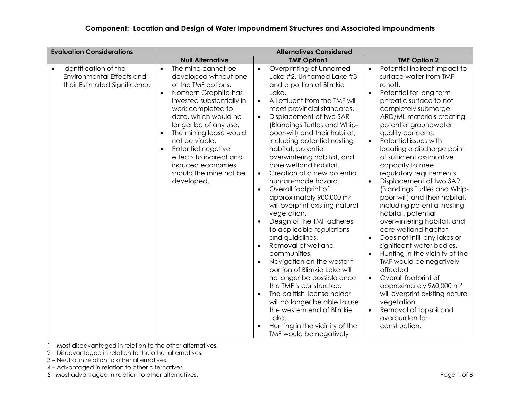| <b>Evaluation Considerations</b>                                                                       | <b>Alternatives Considered</b>                                                                                                                                                                                                                                                                                                                                                                               |                                                                                                                                                                                                                                                                                                                                                                                                                                                                                                                                                                                                                                                                                                                                                                                                                                                                                                                                                                                                                                    |                                                                                                                                                                                                                                                                                                                                                                                                                                                                                                                                                                                                                                                                                                                                                                                                                                                                                                                                                                                                     |
|--------------------------------------------------------------------------------------------------------|--------------------------------------------------------------------------------------------------------------------------------------------------------------------------------------------------------------------------------------------------------------------------------------------------------------------------------------------------------------------------------------------------------------|------------------------------------------------------------------------------------------------------------------------------------------------------------------------------------------------------------------------------------------------------------------------------------------------------------------------------------------------------------------------------------------------------------------------------------------------------------------------------------------------------------------------------------------------------------------------------------------------------------------------------------------------------------------------------------------------------------------------------------------------------------------------------------------------------------------------------------------------------------------------------------------------------------------------------------------------------------------------------------------------------------------------------------|-----------------------------------------------------------------------------------------------------------------------------------------------------------------------------------------------------------------------------------------------------------------------------------------------------------------------------------------------------------------------------------------------------------------------------------------------------------------------------------------------------------------------------------------------------------------------------------------------------------------------------------------------------------------------------------------------------------------------------------------------------------------------------------------------------------------------------------------------------------------------------------------------------------------------------------------------------------------------------------------------------|
|                                                                                                        | <b>Null Alternative</b>                                                                                                                                                                                                                                                                                                                                                                                      | <b>TMF Option1</b>                                                                                                                                                                                                                                                                                                                                                                                                                                                                                                                                                                                                                                                                                                                                                                                                                                                                                                                                                                                                                 | <b>TMF Option 2</b>                                                                                                                                                                                                                                                                                                                                                                                                                                                                                                                                                                                                                                                                                                                                                                                                                                                                                                                                                                                 |
| Identification of the<br>$\bullet$<br><b>Environmental Effects and</b><br>their Estimated Significance | The mine cannot be<br>$\bullet$<br>developed without one<br>of the TMF options.<br>Northern Graphite has<br>$\bullet$<br>invested substantially in<br>work completed to<br>date, which would no<br>longer be of any use.<br>The mining lease would<br>$\bullet$<br>not be viable.<br>Potential negative<br>$\bullet$<br>effects to indirect and<br>induced economies<br>should the mine not be<br>developed. | Overprinting of Unnamed<br>$\bullet$<br>Lake #2, Unnamed Lake #3<br>and a portion of Blimkie<br>Lake.<br>All effluent from the TMF will<br>$\bullet$<br>meet provincial standards.<br>Displacement of two SAR<br>(Blandings Turtles and Whip-<br>poor-will) and their habitat,<br>including potential nesting<br>habitat, potential<br>overwintering habitat, and<br>core wetland habitat.<br>Creation of a new potential<br>$\bullet$<br>human-made hazard.<br>Overall footprint of<br>$\bullet$<br>approximately 900,000 m <sup>2</sup><br>will overprint existing natural<br>vegetation.<br>Design of the TMF adheres<br>to applicable regulations<br>and guidelines.<br>Removal of wetland<br>communities.<br>Navigation on the western<br>$\bullet$<br>portion of Blimkie Lake will<br>no longer be possible once<br>the TMF is constructed.<br>The baitfish license holder<br>$\bullet$<br>will no longer be able to use<br>the western end of Blimkie<br>Lake.<br>Hunting in the vicinity of the<br>TMF would be negatively | Potential indirect impact to<br>$\bullet$<br>surface water from TMF<br>runoff.<br>Potential for long term<br>$\bullet$<br>phreatic surface to not<br>completely submerge<br>ARD/ML materials creating<br>potential groundwater<br>quality concerns.<br>Potential issues with<br>$\bullet$<br>locating a discharge point<br>of sufficient assimilative<br>capacity to meet<br>regulatory requirements.<br>Displacement of two SAR<br>$\bullet$<br>(Blandings Turtles and Whip-<br>poor-will) and their habitat,<br>including potential nesting<br>habitat, potential<br>overwintering habitat, and<br>core wetland habitat.<br>Does not infill any lakes or<br>$\bullet$<br>significant water bodies.<br>Hunting in the vicinity of the<br>$\bullet$<br>TMF would be negatively<br>affected<br>Overall footprint of<br>$\bullet$<br>approximately 960,000 m <sup>2</sup><br>will overprint existing natural<br>vegetation.<br>Removal of topsoil and<br>$\bullet$<br>overburden for<br>construction. |

1 – Most disadvantaged in relation to the other alternatives.

2 – Disadvantaged in relation to the other alternatives.

- 3 Neutral in relation to other alternatives.
- 4 Advantaged in relation to other alternatives.

5 - Most advantaged in relation to other alternatives. **Page 1 of 8** Page 1 of 8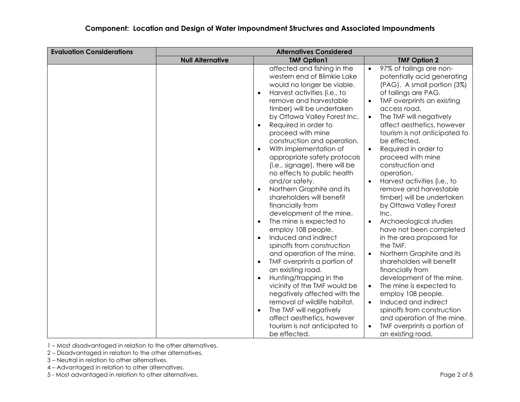| <b>Evaluation Considerations</b> | <b>Alternatives Considered</b> |                                                                                                                                                                                                                                                                                                                                                                                                                                                                                                                                                                                                                                                                                                                                                                                                                                                                                                                                                                                                          |                                                                                                                                                                                                                                                                                                                                                                                                                                                                                                                                                                                                                                                                                                                                                                                                                                                                                                                                                                                               |
|----------------------------------|--------------------------------|----------------------------------------------------------------------------------------------------------------------------------------------------------------------------------------------------------------------------------------------------------------------------------------------------------------------------------------------------------------------------------------------------------------------------------------------------------------------------------------------------------------------------------------------------------------------------------------------------------------------------------------------------------------------------------------------------------------------------------------------------------------------------------------------------------------------------------------------------------------------------------------------------------------------------------------------------------------------------------------------------------|-----------------------------------------------------------------------------------------------------------------------------------------------------------------------------------------------------------------------------------------------------------------------------------------------------------------------------------------------------------------------------------------------------------------------------------------------------------------------------------------------------------------------------------------------------------------------------------------------------------------------------------------------------------------------------------------------------------------------------------------------------------------------------------------------------------------------------------------------------------------------------------------------------------------------------------------------------------------------------------------------|
|                                  | <b>Null Alternative</b>        | <b>TMF Option1</b>                                                                                                                                                                                                                                                                                                                                                                                                                                                                                                                                                                                                                                                                                                                                                                                                                                                                                                                                                                                       | <b>TMF Option 2</b>                                                                                                                                                                                                                                                                                                                                                                                                                                                                                                                                                                                                                                                                                                                                                                                                                                                                                                                                                                           |
|                                  |                                | affected and fishing in the<br>western end of Blimkie Lake<br>would no longer be viable.<br>Harvest activities (i.e., to<br>remove and harvestable<br>timber) will be undertaken<br>by Ottawa Valley Forest Inc.<br>Required in order to<br>$\bullet$<br>proceed with mine<br>construction and operation.<br>With implementation of<br>$\bullet$<br>appropriate safety protocols<br>(i.e., signage), there will be<br>no effects to public health<br>and/or safety.<br>Northern Graphite and its<br>shareholders will benefit<br>financially from<br>development of the mine.<br>The mine is expected to<br>employ 108 people.<br>Induced and indirect<br>spinoffs from construction<br>and operation of the mine.<br>TMF overprints a portion of<br>an existing road.<br>Hunting/trapping in the<br>vicinity of the TMF would be<br>negatively affected with the<br>removal of wildlife habitat.<br>The TMF will negatively<br>$\bullet$<br>affect aesthetics, however<br>tourism is not anticipated to | 97% of tailings are non-<br>$\bullet$<br>potentially acid generating<br>(PAG). A small portion (3%)<br>of tailings are PAG.<br>TMF overprints an existing<br>$\bullet$<br>access road.<br>The TMF will negatively<br>$\bullet$<br>affect aesthetics, however<br>tourism is not anticipated to<br>be effected.<br>Required in order to<br>$\bullet$<br>proceed with mine<br>construction and<br>operation.<br>Harvest activities (i.e., to<br>$\bullet$<br>remove and harvestable<br>timber) will be undertaken<br>by Ottawa Valley Forest<br>Inc.<br>Archaeological studies<br>$\bullet$<br>have not been completed<br>in the area proposed for<br>the TMF.<br>Northern Graphite and its<br>$\bullet$<br>shareholders will benefit<br>financially from<br>development of the mine.<br>The mine is expected to<br>$\bullet$<br>employ 108 people.<br>Induced and indirect<br>$\bullet$<br>spinoffs from construction<br>and operation of the mine.<br>TMF overprints a portion of<br>$\bullet$ |
|                                  |                                | be effected.                                                                                                                                                                                                                                                                                                                                                                                                                                                                                                                                                                                                                                                                                                                                                                                                                                                                                                                                                                                             | an existing road.                                                                                                                                                                                                                                                                                                                                                                                                                                                                                                                                                                                                                                                                                                                                                                                                                                                                                                                                                                             |

1 – Most disadvantaged in relation to the other alternatives.

2 – Disadvantaged in relation to the other alternatives.

- 3 Neutral in relation to other alternatives.
- 4 Advantaged in relation to other alternatives.

5 - Most advantaged in relation to other alternatives. **Page 2 of 8** Page 2 of 8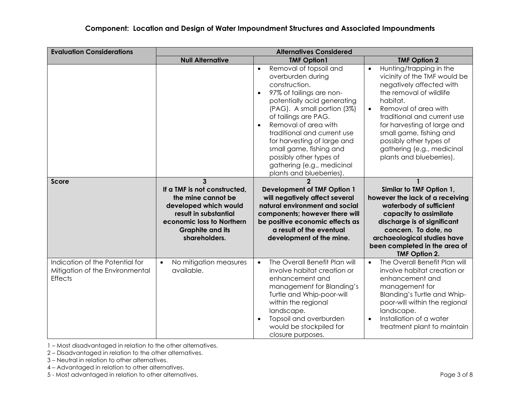| <b>Evaluation Considerations</b>                                                     | <b>Alternatives Considered</b>                                                                                                                                                                |                                                                                                                                                                                                                                                                                                                                                                                                                |                                                                                                                                                                                                                                                                                                                                                            |
|--------------------------------------------------------------------------------------|-----------------------------------------------------------------------------------------------------------------------------------------------------------------------------------------------|----------------------------------------------------------------------------------------------------------------------------------------------------------------------------------------------------------------------------------------------------------------------------------------------------------------------------------------------------------------------------------------------------------------|------------------------------------------------------------------------------------------------------------------------------------------------------------------------------------------------------------------------------------------------------------------------------------------------------------------------------------------------------------|
|                                                                                      | <b>Null Alternative</b>                                                                                                                                                                       | <b>TMF Option1</b>                                                                                                                                                                                                                                                                                                                                                                                             | <b>TMF Option 2</b>                                                                                                                                                                                                                                                                                                                                        |
|                                                                                      |                                                                                                                                                                                               | Removal of topsoil and<br>$\bullet$<br>overburden during<br>construction.<br>97% of tailings are non-<br>potentially acid generating<br>(PAG). A small portion (3%)<br>of tailings are PAG.<br>Removal of area with<br>$\bullet$<br>traditional and current use<br>for harvesting of large and<br>small game, fishing and<br>possibly other types of<br>gathering (e.g., medicinal<br>plants and blueberries). | Hunting/trapping in the<br>$\bullet$<br>vicinity of the TMF would be<br>negatively affected with<br>the removal of wildlife<br>habitat.<br>Removal of area with<br>$\bullet$<br>traditional and current use<br>for harvesting of large and<br>small game, fishing and<br>possibly other types of<br>gathering (e.g., medicinal<br>plants and blueberries). |
| <b>Score</b>                                                                         | $\mathbf{3}$<br>If a TMF is not constructed,<br>the mine cannot be<br>developed which would<br>result in substantial<br>economic loss to Northern<br><b>Graphite and its</b><br>shareholders. | $\mathbf{c}$<br><b>Development of TMF Option 1</b><br>will negatively affect several<br>natural environment and social<br>components; however there will<br>be positive economic effects as<br>a result of the eventual<br>development of the mine.                                                                                                                                                            | $\mathbf{1}$<br>Similar to TMF Option 1,<br>however the lack of a receiving<br>waterbody of sufficient<br>capacity to assimilate<br>discharge is of significant<br>concern. To dote, no<br>archaeological studies have<br>been completed in the area of<br><b>TMF Option 2.</b>                                                                            |
| Indication of the Potential for<br>Mitigation of the Environmental<br><b>Effects</b> | No mitigation measures<br>$\bullet$<br>available.                                                                                                                                             | The Overall Benefit Plan will<br>$\bullet$<br>involve habitat creation or<br>enhancement and<br>management for Blanding's<br>Turtle and Whip-poor-will<br>within the regional<br>landscape.<br>Topsoil and overburden<br>would be stockpiled for<br>closure purposes.                                                                                                                                          | The Overall Benefit Plan will<br>$\bullet$<br>involve habitat creation or<br>enhancement and<br>management for<br>Blanding's Turtle and Whip-<br>poor-will within the regional<br>landscape.<br>Installation of a water<br>$\bullet$<br>treatment plant to maintain                                                                                        |

1 – Most disadvantaged in relation to the other alternatives.

2 – Disadvantaged in relation to the other alternatives.

3 – Neutral in relation to other alternatives.

4 – Advantaged in relation to other alternatives.

5 - Most advantaged in relation to other alternatives. Page 3 of 8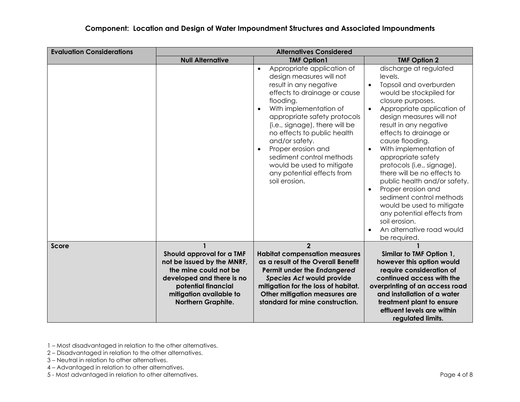| <b>Evaluation Considerations</b> |                                                                                                                                                                                              | <b>Alternatives Considered</b>                                                                                                                                                                                                                                                                                                                                                                                                     |                                                                                                                                                                                                                                                                                                                                                                                                                                                                                                                                                                                                                          |
|----------------------------------|----------------------------------------------------------------------------------------------------------------------------------------------------------------------------------------------|------------------------------------------------------------------------------------------------------------------------------------------------------------------------------------------------------------------------------------------------------------------------------------------------------------------------------------------------------------------------------------------------------------------------------------|--------------------------------------------------------------------------------------------------------------------------------------------------------------------------------------------------------------------------------------------------------------------------------------------------------------------------------------------------------------------------------------------------------------------------------------------------------------------------------------------------------------------------------------------------------------------------------------------------------------------------|
|                                  | <b>Null Alternative</b>                                                                                                                                                                      | <b>TMF Option1</b>                                                                                                                                                                                                                                                                                                                                                                                                                 | <b>TMF Option 2</b>                                                                                                                                                                                                                                                                                                                                                                                                                                                                                                                                                                                                      |
|                                  |                                                                                                                                                                                              | Appropriate application of<br>$\bullet$<br>design measures will not<br>result in any negative<br>effects to drainage or cause<br>flooding.<br>With implementation of<br>appropriate safety protocols<br>(i.e., signage), there will be<br>no effects to public health<br>and/or safety.<br>Proper erosion and<br>$\bullet$<br>sediment control methods<br>would be used to mitigate<br>any potential effects from<br>soil erosion. | discharge at regulated<br>levels.<br>Topsoil and overburden<br>$\bullet$<br>would be stockpiled for<br>closure purposes.<br>Appropriate application of<br>design measures will not<br>result in any negative<br>effects to drainage or<br>cause flooding.<br>With implementation of<br>$\bullet$<br>appropriate safety<br>protocols (i.e., signage),<br>there will be no effects to<br>public health and/or safety.<br>Proper erosion and<br>$\bullet$<br>sediment control methods<br>would be used to mitigate<br>any potential effects from<br>soil erosion.<br>An alternative road would<br>$\bullet$<br>be required. |
| <b>Score</b>                     |                                                                                                                                                                                              | $\overline{2}$                                                                                                                                                                                                                                                                                                                                                                                                                     |                                                                                                                                                                                                                                                                                                                                                                                                                                                                                                                                                                                                                          |
|                                  | Should approval for a TMF<br>not be issued by the MNRF,<br>the mine could not be<br>developed and there is no<br>potential financial<br>mitigation available to<br><b>Northern Graphite.</b> | <b>Habitat compensation measures</b><br>as a result of the Overall Benefit<br>Permit under the Endangered<br><b>Species Act would provide</b><br>mitigation for the loss of habitat.<br>Other mitigation measures are<br>standard for mine construction.                                                                                                                                                                           | Similar to TMF Option 1,<br>however this option would<br>require consideration of<br>continued access with the<br>overprinting of an access road<br>and installation of a water<br>treatment plant to ensure<br>effluent levels are within<br>regulated limits.                                                                                                                                                                                                                                                                                                                                                          |

1 – Most disadvantaged in relation to the other alternatives.

- 2 Disadvantaged in relation to the other alternatives.
- 3 Neutral in relation to other alternatives.
- 4 Advantaged in relation to other alternatives.

5 - Most advantaged in relation to other alternatives. **Page 4 of 8** Page 4 of 8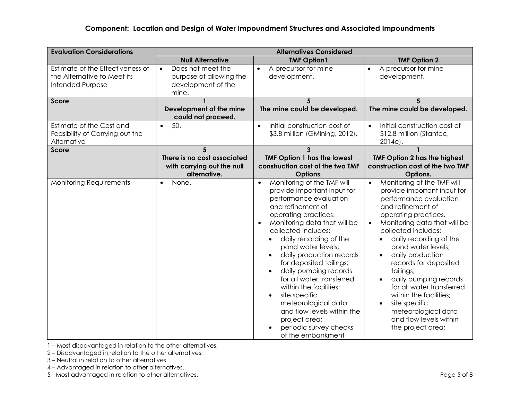| <b>Evaluation Considerations</b>                                                    | <b>Alternatives Considered</b>                                                           |                                                                                                                                                                                                                                                                                                                                                                                                                                                                                                                                                |                                                                                                                                                                                                                                                                                                                                                                                                                                                                                                                                           |
|-------------------------------------------------------------------------------------|------------------------------------------------------------------------------------------|------------------------------------------------------------------------------------------------------------------------------------------------------------------------------------------------------------------------------------------------------------------------------------------------------------------------------------------------------------------------------------------------------------------------------------------------------------------------------------------------------------------------------------------------|-------------------------------------------------------------------------------------------------------------------------------------------------------------------------------------------------------------------------------------------------------------------------------------------------------------------------------------------------------------------------------------------------------------------------------------------------------------------------------------------------------------------------------------------|
|                                                                                     | <b>Null Alternative</b>                                                                  | <b>TMF Option1</b>                                                                                                                                                                                                                                                                                                                                                                                                                                                                                                                             | <b>TMF Option 2</b>                                                                                                                                                                                                                                                                                                                                                                                                                                                                                                                       |
| Estimate of the Effectiveness of<br>the Alternative to Meet its<br>Intended Purpose | Does not meet the<br>$\bullet$<br>purpose of allowing the<br>development of the<br>mine. | A precursor for mine<br>$\bullet$<br>development.                                                                                                                                                                                                                                                                                                                                                                                                                                                                                              | A precursor for mine<br>$\bullet$<br>development.                                                                                                                                                                                                                                                                                                                                                                                                                                                                                         |
| <b>Score</b>                                                                        | Development of the mine<br>could not proceed.                                            | The mine could be developed.                                                                                                                                                                                                                                                                                                                                                                                                                                                                                                                   | 5<br>The mine could be developed.                                                                                                                                                                                                                                                                                                                                                                                                                                                                                                         |
| Estimate of the Cost and<br>Feasibility of Carrying out the<br>Alternative          | \$0.<br>$\bullet$                                                                        | Initial construction cost of<br>$\bullet$<br>\$3.8 million (GMining, 2012).                                                                                                                                                                                                                                                                                                                                                                                                                                                                    | Initial construction cost of<br>$\bullet$<br>\$12.8 million (Stantec,<br>2014e).                                                                                                                                                                                                                                                                                                                                                                                                                                                          |
| Score                                                                               | 5<br>There is no cost associated<br>with carrying out the null<br>alternative.           | 3<br><b>TMF Option 1 has the lowest</b><br>construction cost of the two TMF<br>Options.                                                                                                                                                                                                                                                                                                                                                                                                                                                        | <b>TMF Option 2 has the highest</b><br>construction cost of the two TMF<br>Options.                                                                                                                                                                                                                                                                                                                                                                                                                                                       |
| <b>Monitoring Requirements</b>                                                      | None.<br>$\bullet$                                                                       | Monitoring of the TMF will<br>$\bullet$<br>provide important input for<br>performance evaluation<br>and refinement of<br>operating practices.<br>Monitoring data that will be<br>collected includes:<br>daily recording of the<br>pond water levels;<br>daily production records<br>for deposited tailings;<br>daily pumping records<br>for all water transferred<br>within the facilities;<br>site specific<br>$\bullet$<br>meteorological data<br>and flow levels within the<br>project area;<br>periodic survey checks<br>of the embankment | Monitoring of the TMF will<br>$\bullet$<br>provide important input for<br>performance evaluation<br>and refinement of<br>operating practices.<br>Monitoring data that will be<br>collected includes:<br>daily recording of the<br>$\bullet$<br>pond water levels;<br>daily production<br>$\bullet$<br>records for deposited<br>tailings;<br>daily pumping records<br>$\bullet$<br>for all water transferred<br>within the facilities;<br>site specific<br>$\bullet$<br>meteorological data<br>and flow levels within<br>the project area; |

1 – Most disadvantaged in relation to the other alternatives.

2 – Disadvantaged in relation to the other alternatives.

- 3 Neutral in relation to other alternatives.
- 4 Advantaged in relation to other alternatives.

5 - Most advantaged in relation to other alternatives. **Page 5 of 8** Page 5 of 8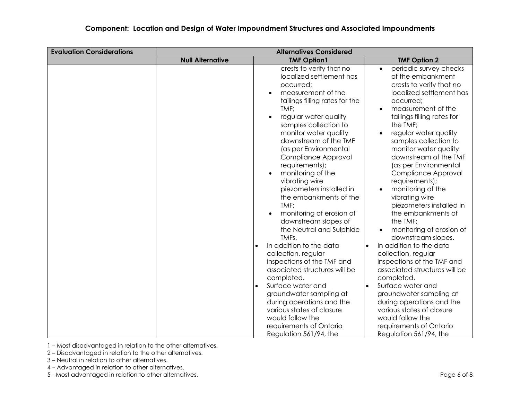| <b>Evaluation Considerations</b> | <b>Alternatives Considered</b> |                                                                                                                                                                                                                                                                                                                                                                                                                                                                                                                                                                                                                                                                                                                                                             |                                                                                                                                                                                                                                                                                                                                                                                                                                                                                                                                                                                                                                                                                                                                                                                                                                      |
|----------------------------------|--------------------------------|-------------------------------------------------------------------------------------------------------------------------------------------------------------------------------------------------------------------------------------------------------------------------------------------------------------------------------------------------------------------------------------------------------------------------------------------------------------------------------------------------------------------------------------------------------------------------------------------------------------------------------------------------------------------------------------------------------------------------------------------------------------|--------------------------------------------------------------------------------------------------------------------------------------------------------------------------------------------------------------------------------------------------------------------------------------------------------------------------------------------------------------------------------------------------------------------------------------------------------------------------------------------------------------------------------------------------------------------------------------------------------------------------------------------------------------------------------------------------------------------------------------------------------------------------------------------------------------------------------------|
|                                  | <b>Null Alternative</b>        | <b>TMF Option1</b>                                                                                                                                                                                                                                                                                                                                                                                                                                                                                                                                                                                                                                                                                                                                          | <b>TMF Option 2</b>                                                                                                                                                                                                                                                                                                                                                                                                                                                                                                                                                                                                                                                                                                                                                                                                                  |
|                                  |                                | crests to verify that no<br>localized settlement has<br>occurred;<br>measurement of the<br>tailings filling rates for the<br>TMF;<br>regular water quality<br>samples collection to<br>monitor water quality<br>downstream of the TMF<br>(as per Environmental<br>Compliance Approval<br>requirements);<br>monitoring of the<br>vibrating wire<br>piezometers installed in<br>the embankments of the<br>TMF;<br>monitoring of erosion of<br>downstream slopes of<br>the Neutral and Sulphide<br>TMFs.<br>In addition to the data<br>collection, regular<br>inspections of the TMF and<br>associated structures will be<br>completed.<br>Surface water and<br>$\bullet$<br>groundwater sampling at<br>during operations and the<br>various states of closure | periodic survey checks<br>$\bullet$<br>of the embankment<br>crests to verify that no<br>localized settlement has<br>occurred;<br>measurement of the<br>$\bullet$<br>tailings filling rates for<br>the TMF;<br>regular water quality<br>$\bullet$<br>samples collection to<br>monitor water quality<br>downstream of the TMF<br>(as per Environmental<br>Compliance Approval<br>requirements);<br>monitoring of the<br>$\bullet$<br>vibrating wire<br>piezometers installed in<br>the embankments of<br>the TMF;<br>monitoring of erosion of<br>downstream slopes.<br>In addition to the data<br>$\bullet$<br>collection, regular<br>inspections of the TMF and<br>associated structures will be<br>completed.<br>Surface water and<br>$\bullet$<br>groundwater sampling at<br>during operations and the<br>various states of closure |
|                                  |                                | would follow the<br>requirements of Ontario<br>Regulation 561/94, the                                                                                                                                                                                                                                                                                                                                                                                                                                                                                                                                                                                                                                                                                       | would follow the<br>requirements of Ontario<br>Regulation 561/94, the                                                                                                                                                                                                                                                                                                                                                                                                                                                                                                                                                                                                                                                                                                                                                                |

2 – Disadvantaged in relation to the other alternatives.

- 3 Neutral in relation to other alternatives.
- 4 Advantaged in relation to other alternatives.

5 - Most advantaged in relation to other alternatives. **Page 6 of 8** Page 6 of 8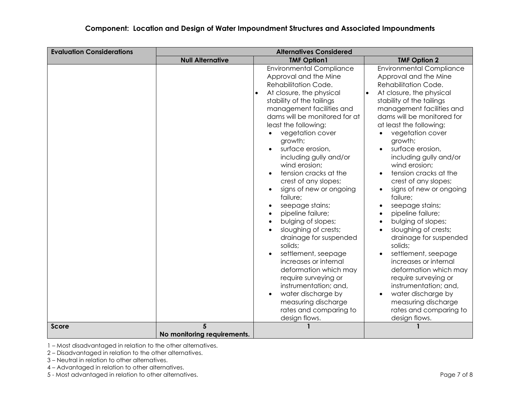| <b>Evaluation Considerations</b> | <b>Alternatives Considered</b> |                                                                                                                                                                                                                                                                                                                                                                                                                                                                                                                                                                                                                                                                                                                                                                    |                                                                                                                                                                                                                                                                                                                                                                                                                                                                                                                                                                                                                                                                                                                                                                                                                                                                                                                   |
|----------------------------------|--------------------------------|--------------------------------------------------------------------------------------------------------------------------------------------------------------------------------------------------------------------------------------------------------------------------------------------------------------------------------------------------------------------------------------------------------------------------------------------------------------------------------------------------------------------------------------------------------------------------------------------------------------------------------------------------------------------------------------------------------------------------------------------------------------------|-------------------------------------------------------------------------------------------------------------------------------------------------------------------------------------------------------------------------------------------------------------------------------------------------------------------------------------------------------------------------------------------------------------------------------------------------------------------------------------------------------------------------------------------------------------------------------------------------------------------------------------------------------------------------------------------------------------------------------------------------------------------------------------------------------------------------------------------------------------------------------------------------------------------|
|                                  | <b>Null Alternative</b>        | <b>TMF Option1</b>                                                                                                                                                                                                                                                                                                                                                                                                                                                                                                                                                                                                                                                                                                                                                 | <b>TMF Option 2</b>                                                                                                                                                                                                                                                                                                                                                                                                                                                                                                                                                                                                                                                                                                                                                                                                                                                                                               |
|                                  |                                | <b>Environmental Compliance</b><br>Approval and the Mine<br>Rehabilitation Code.<br>At closure, the physical<br>stability of the tailings<br>management facilities and<br>dams will be monitored for at<br>least the following:<br>vegetation cover<br>growth;<br>surface erosion,<br>including gully and/or<br>wind erosion;<br>tension cracks at the<br>crest of any slopes;<br>signs of new or ongoing<br>failure;<br>seepage stains;<br>pipeline failure;<br>bulging of slopes;<br>sloughing of crests;<br>drainage for suspended<br>solids;<br>settlement, seepage<br>increases or internal<br>deformation which may<br>require surveying or<br>instrumentation; and,<br>water discharge by<br>measuring discharge<br>rates and comparing to<br>design flows. | <b>Environmental Compliance</b><br>Approval and the Mine<br>Rehabilitation Code.<br>At closure, the physical<br>$\bullet$<br>stability of the tailings<br>management facilities and<br>dams will be monitored for<br>at least the following:<br>vegetation cover<br>$\bullet$<br>growth;<br>surface erosion,<br>$\bullet$<br>including gully and/or<br>wind erosion;<br>tension cracks at the<br>$\bullet$<br>crest of any slopes;<br>signs of new or ongoing<br>$\bullet$<br>failure;<br>seepage stains;<br>$\bullet$<br>pipeline failure;<br>$\bullet$<br>bulging of slopes;<br>$\bullet$<br>sloughing of crests;<br>$\bullet$<br>drainage for suspended<br>solids;<br>settlement, seepage<br>$\bullet$<br>increases or internal<br>deformation which may<br>require surveying or<br>instrumentation; and,<br>water discharge by<br>$\bullet$<br>measuring discharge<br>rates and comparing to<br>design flows. |
| <b>Score</b>                     | No monitoring requirements.    |                                                                                                                                                                                                                                                                                                                                                                                                                                                                                                                                                                                                                                                                                                                                                                    |                                                                                                                                                                                                                                                                                                                                                                                                                                                                                                                                                                                                                                                                                                                                                                                                                                                                                                                   |

2 – Disadvantaged in relation to the other alternatives.

3 – Neutral in relation to other alternatives.

4 – Advantaged in relation to other alternatives.

5 - Most advantaged in relation to other alternatives. Page 7 of 8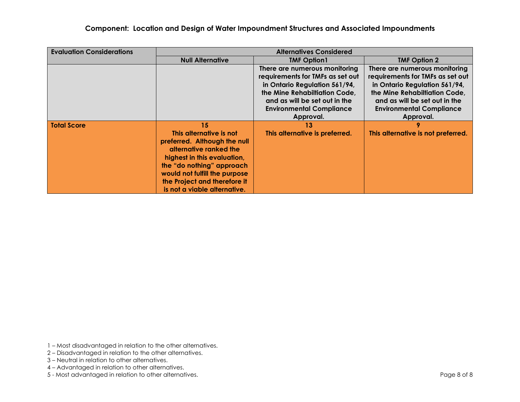| <b>Evaluation Considerations</b> | <b>Alternatives Considered</b>                                                                                                                                                                                                                       |                                                                                                                                                                                                         |                                                                                                                                                                                                         |
|----------------------------------|------------------------------------------------------------------------------------------------------------------------------------------------------------------------------------------------------------------------------------------------------|---------------------------------------------------------------------------------------------------------------------------------------------------------------------------------------------------------|---------------------------------------------------------------------------------------------------------------------------------------------------------------------------------------------------------|
|                                  | <b>Null Alternative</b>                                                                                                                                                                                                                              | <b>TMF Option1</b>                                                                                                                                                                                      | <b>TMF Option 2</b>                                                                                                                                                                                     |
|                                  |                                                                                                                                                                                                                                                      | There are numerous monitoring<br>requirements for TMFs as set out<br>in Ontario Regulation 561/94,<br>the Mine Rehabiltiation Code,<br>and as will be set out in the<br><b>Environmental Compliance</b> | There are numerous monitoring<br>requirements for TMFs as set out<br>in Ontario Regulation 561/94,<br>the Mine Rehabiltiation Code,<br>and as will be set out in the<br><b>Environmental Compliance</b> |
|                                  |                                                                                                                                                                                                                                                      | Approval.                                                                                                                                                                                               | Approval.                                                                                                                                                                                               |
| <b>Total Score</b>               | 15<br>This alternative is not<br>preferred. Although the null<br>alternative ranked the<br>highest in this evaluation,<br>the "do nothing" approach<br>would not fulfill the purpose<br>the Project and therefore it<br>is not a viable alternative. | 13<br>This alternative is preferred.                                                                                                                                                                    | This alternative is not preferred.                                                                                                                                                                      |

1 – Most disadvantaged in relation to the other alternatives.

- 2 Disadvantaged in relation to the other alternatives.
- 3 Neutral in relation to other alternatives.
- 4 Advantaged in relation to other alternatives.
- 5 Most advantaged in relation to other alternatives. **Page 8 of 8** and 20 and 20 and 20 and 20 and 20 and 20 and 20 and 20 and 20 and 20 and 20 and 20 and 20 and 20 and 20 and 20 and 20 and 20 and 20 and 20 and 20 and 20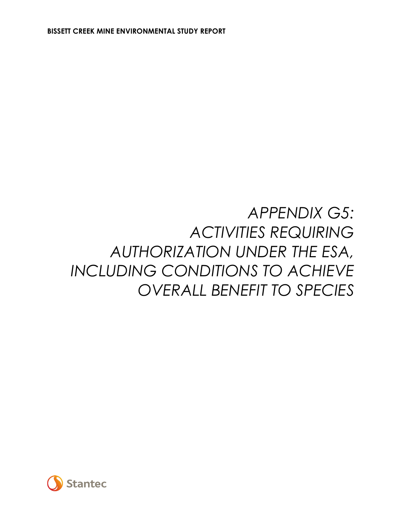### *APPENDIX G5: ACTIVITIES REQUIRING AUTHORIZATION UNDER THE ESA, INCLUDING CONDITIONS TO ACHIEVE OVERALL BENEFIT TO SPECIES*

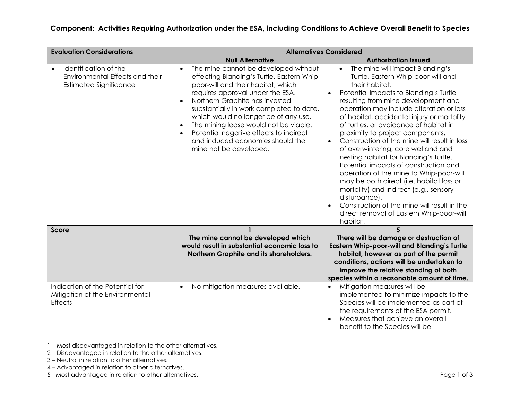| <b>Evaluation Considerations</b>                                                                       | <b>Alternatives Considered</b>                                                                                                                                                                                                                                                                                                                                                                                                                                             |                                                                                                                                                                                                                                                                                                                                                                                                                                                                                                                                                                                                                                                                                                                                                                                                              |  |  |
|--------------------------------------------------------------------------------------------------------|----------------------------------------------------------------------------------------------------------------------------------------------------------------------------------------------------------------------------------------------------------------------------------------------------------------------------------------------------------------------------------------------------------------------------------------------------------------------------|--------------------------------------------------------------------------------------------------------------------------------------------------------------------------------------------------------------------------------------------------------------------------------------------------------------------------------------------------------------------------------------------------------------------------------------------------------------------------------------------------------------------------------------------------------------------------------------------------------------------------------------------------------------------------------------------------------------------------------------------------------------------------------------------------------------|--|--|
|                                                                                                        | <b>Null Alternative</b>                                                                                                                                                                                                                                                                                                                                                                                                                                                    | <b>Authorization Issued</b>                                                                                                                                                                                                                                                                                                                                                                                                                                                                                                                                                                                                                                                                                                                                                                                  |  |  |
| Identification of the<br>$\bullet$<br>Environmental Effects and their<br><b>Estimated Significance</b> | The mine cannot be developed without<br>effecting Blanding's Turtle, Eastern Whip-<br>poor-will and their habitat, which<br>requires approval under the ESA.<br>Northern Graphite has invested<br>$\bullet$<br>substantially in work completed to date,<br>which would no longer be of any use.<br>The mining lease would not be viable.<br>$\bullet$<br>Potential negative effects to indirect<br>$\bullet$<br>and induced economies should the<br>mine not be developed. | The mine will impact Blanding's<br>$\bullet$<br>Turtle, Eastern Whip-poor-will and<br>their habitat.<br>Potential impacts to Blanding's Turtle<br>$\bullet$<br>resulting from mine development and<br>operation may include alteration or loss<br>of habitat, accidental injury or mortality<br>of turtles, or avoidance of habitat in<br>proximity to project components.<br>Construction of the mine will result in loss<br>of overwintering, core wetland and<br>nesting habitat for Blanding's Turtle.<br>Potential impacts of construction and<br>operation of the mine to Whip-poor-will<br>may be both direct (i.e. habitat loss or<br>mortality) and indirect (e.g., sensory<br>disturbance).<br>Construction of the mine will result in the<br>direct removal of Eastern Whip-poor-will<br>habitat. |  |  |
| Score                                                                                                  | The mine cannot be developed which<br>would result in substantial economic loss to<br>Northern Graphite and its shareholders.                                                                                                                                                                                                                                                                                                                                              | 5<br>There will be damage or destruction of<br><b>Eastern Whip-poor-will and Blanding's Turtle</b><br>habitat, however as part of the permit<br>conditions, actions will be undertaken to<br>improve the relative standing of both                                                                                                                                                                                                                                                                                                                                                                                                                                                                                                                                                                           |  |  |
| Indication of the Potential for<br>Mitigation of the Environmental<br><b>Effects</b>                   | No mitigation measures available.<br>$\bullet$                                                                                                                                                                                                                                                                                                                                                                                                                             | species within a reasonable amount of time.<br>Mitigation measures will be<br>$\bullet$<br>implemented to minimize impacts to the<br>Species will be implemented as part of<br>the requirements of the ESA permit.<br>Measures that achieve an overall<br>$\bullet$<br>benefit to the Species will be                                                                                                                                                                                                                                                                                                                                                                                                                                                                                                        |  |  |

2 – Disadvantaged in relation to the other alternatives.

- 3 Neutral in relation to other alternatives.
- 4 Advantaged in relation to other alternatives.

5 - Most advantaged in relation to other alternatives. **Page 1 of 3** Page 1 of 3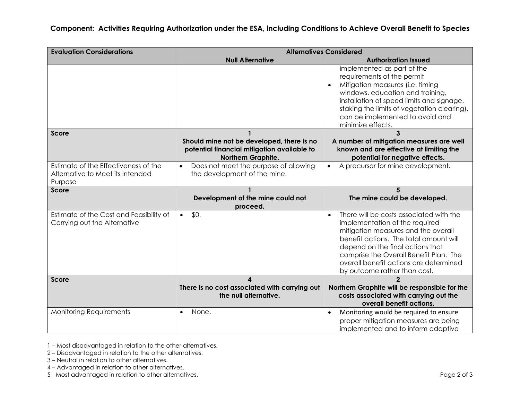**Component: Activities Requiring Authorization under the ESA, including Conditions to Achieve Overall Benefit to Species**

| <b>Evaluation Considerations</b>                                                    | <b>Alternatives Considered</b>                                                                                 |                                                                                                                                                                                                                                                                                                                                 |  |
|-------------------------------------------------------------------------------------|----------------------------------------------------------------------------------------------------------------|---------------------------------------------------------------------------------------------------------------------------------------------------------------------------------------------------------------------------------------------------------------------------------------------------------------------------------|--|
|                                                                                     | <b>Null Alternative</b>                                                                                        | <b>Authorization Issued</b>                                                                                                                                                                                                                                                                                                     |  |
|                                                                                     |                                                                                                                | implemented as part of the<br>requirements of the permit<br>Mitigation measures (i.e. timing<br>$\bullet$<br>windows, education and training,<br>installation of speed limits and signage,<br>staking the limits of vegetation clearing),<br>can be implemented to avoid and<br>minimize effects.                               |  |
| <b>Score</b>                                                                        | Should mine not be developed, there is no<br>potential financial mitigation available to<br>Northern Graphite. | $\overline{\mathbf{3}}$<br>A number of mitigation measures are well<br>known and are effective at limiting the<br>potential for negative effects.                                                                                                                                                                               |  |
| Estimate of the Effectiveness of the<br>Alternative to Meet its Intended<br>Purpose | Does not meet the purpose of allowing<br>$\bullet$<br>the development of the mine.                             | A precursor for mine development.<br>$\bullet$                                                                                                                                                                                                                                                                                  |  |
| <b>Score</b>                                                                        | Development of the mine could not<br>proceed.                                                                  | The mine could be developed.                                                                                                                                                                                                                                                                                                    |  |
| Estimate of the Cost and Feasibility of<br>Carrying out the Alternative             | \$0.<br>$\bullet$                                                                                              | There will be costs associated with the<br>$\bullet$<br>implementation of the required<br>mitigation measures and the overall<br>benefit actions. The total amount will<br>depend on the final actions that<br>comprise the Overall Benefit Plan. The<br>overall benefit actions are determined<br>by outcome rather than cost. |  |
| <b>Score</b>                                                                        | $\boldsymbol{\Lambda}$<br>There is no cost associated with carrying out<br>the null alternative.               | $\mathbf{v}$<br>Northern Graphite will be responsible for the<br>costs associated with carrying out the<br>overall benefit actions.                                                                                                                                                                                             |  |
| <b>Monitoring Requirements</b>                                                      | None.                                                                                                          | Monitoring would be required to ensure<br>$\bullet$<br>proper mitigation measures are being<br>implemented and to inform adaptive                                                                                                                                                                                               |  |

1 – Most disadvantaged in relation to the other alternatives.

2 – Disadvantaged in relation to the other alternatives.

- 3 Neutral in relation to other alternatives.
- 4 Advantaged in relation to other alternatives.

5 - Most advantaged in relation to other alternatives. **Page 2 of 3** and 2 of 3